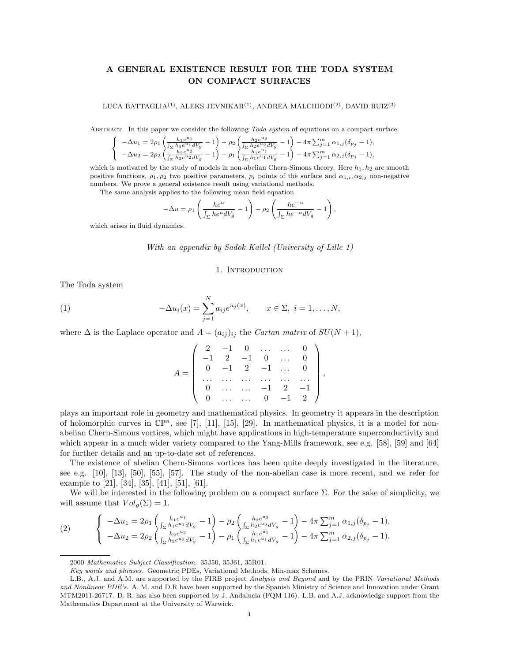# A GENERAL EXISTENCE RESULT FOR THE TODA SYSTEM ON COMPACT SURFACES

LUCA BATTAGLIA<sup>(1)</sup>, ALEKS JEVNIKAR<sup>(1)</sup>, ANDREA MALCHIODI<sup>(2)</sup>, DAVID RUIZ<sup>(3)</sup>

ABSTRACT. In this paper we consider the following Toda system of equations on a compact surface:

$$
\label{eq:21} \left\{ \begin{array}{l} -\Delta u_1 = 2 \rho_1 \left( \frac{h_1 e^{u_1}}{\int_{\Sigma} h_1 e^{u_1} dV_g} - 1 \right) - \rho_2 \left( \frac{h_2 e^{u_2}}{\int_{\Sigma} h_2 e^{u_2} dV_g} - 1 \right) - 4 \pi \sum_{j=1}^m \alpha_{1,j} (\delta_{p_j} - 1), \\ -\Delta u_2 = 2 \rho_2 \left( \frac{h_2 e^{u_2}}{\int_{\Sigma} h_2 e^{u_2} dV_g} - 1 \right) - \rho_1 \left( \frac{h_1 e^{u_1}}{\int_{\Sigma} h_1 e^{u_1} dV_g} - 1 \right) - 4 \pi \sum_{j=1}^m \alpha_{2,j} (\delta_{p_j} - 1), \end{array} \right.
$$

which is motivated by the study of models in non-abelian Chern-Simons theory. Here  $h_1, h_2$  are smooth positive functions,  $\rho_1, \rho_2$  two positive parameters,  $p_i$  points of the surface and  $\alpha_{1,i}, \alpha_{2,i}$  non-negative numbers. We prove a general existence result using variational methods.

The same analysis applies to the following mean field equation

$$
-\Delta u = \rho_1 \left( \frac{he^u}{\int_{\Sigma} he^u dV_g} - 1 \right) - \rho_2 \left( \frac{he^{-u}}{\int_{\Sigma} he^{-u} dV_g} - 1 \right),
$$

which arises in fluid dynamics.

With an appendix by Sadok Kallel (University of Lille 1)

#### 1. Introduction

The Toda system

(1) 
$$
-\Delta u_i(x) = \sum_{j=1}^N a_{ij} e^{u_j(x)}, \qquad x \in \Sigma, \ i = 1, ..., N,
$$

where  $\Delta$  is the Laplace operator and  $A = (a_{ij})_{ij}$  the Cartan matrix of  $SU(N+1)$ ,

$$
A = \left( \begin{array}{cccccc} 2 & -1 & 0 & \dots & \dots & 0 \\ -1 & 2 & -1 & 0 & \dots & 0 \\ 0 & -1 & 2 & -1 & \dots & 0 \\ \dots & \dots & \dots & \dots & \dots & \dots \\ 0 & \dots & \dots & -1 & 2 & -1 \\ 0 & \dots & \dots & 0 & -1 & 2 \end{array} \right),
$$

plays an important role in geometry and mathematical physics. In geometry it appears in the description of holomorphic curves in  $\mathbb{CP}^n$ , see [7], [11], [15], [29]. In mathematical physics, it is a model for nonabelian Chern-Simons vortices, which might have applications in high-temperature superconductivity and which appear in a much wider variety compared to the Yang-Mills framework, see e.g. [58], [59] and [64] for further details and an up-to-date set of references.

The existence of abelian Chern-Simons vortices has been quite deeply investigated in the literature, see e.g. [10], [13], [50], [55], [57]. The study of the non-abelian case is more recent, and we refer for example to [21], [34], [35], [41], [51], [61].

We will be interested in the following problem on a compact surface  $\Sigma$ . For the sake of simplicity, we will assume that  $Vol_q(\Sigma) = 1$ .

(2) 
$$
\begin{cases}\n-\Delta u_1 = 2\rho_1 \left( \frac{h_1 e^{u_1}}{\int_{\Sigma} h_1 e^{u_1} dV_g} - 1 \right) - \rho_2 \left( \frac{h_2 e^{u_2}}{\int_{\Sigma} h_2 e^{u_2} dV_g} - 1 \right) - 4\pi \sum_{j=1}^m \alpha_{1,j} (\delta_{p_j} - 1), \\
-\Delta u_2 = 2\rho_2 \left( \frac{h_2 e^{u_2}}{\int_{\Sigma} h_2 e^{u_2} dV_g} - 1 \right) - \rho_1 \left( \frac{h_1 e^{u_1}}{\int_{\Sigma} h_1 e^{u_1} dV_g} - 1 \right) - 4\pi \sum_{j=1}^m \alpha_{2,j} (\delta_{p_j} - 1).\n\end{cases}
$$

<sup>2000</sup> Mathematics Subject Classification. 35J50, 35J61, 35R01.

Key words and phrases. Geometric PDEs, Variational Methods, Min-max Schemes.

L.B., A.J. and A.M. are supported by the FIRB project Analysis and Beyond and by the PRIN Variational Methods and Nonlinear PDE's. A. M. and D.R have been supported by the Spanish Ministry of Science and Innovation under Grant MTM2011-26717. D. R. has also been supported by J. Andalucia (FQM 116). L.B. and A.J. acknowledge support from the Mathematics Department at the University of Warwick.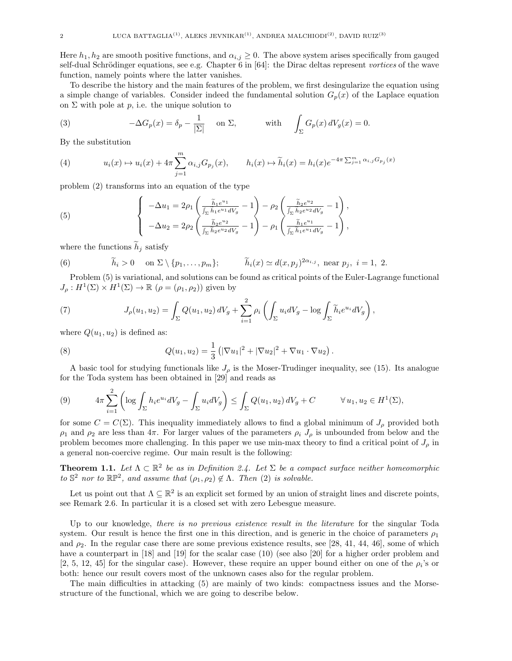Here  $h_1, h_2$  are smooth positive functions, and  $\alpha_{i,j} \geq 0$ . The above system arises specifically from gauged self-dual Schrödinger equations, see e.g. Chapter  $6$  in  $[64]$ : the Dirac deltas represent vortices of the wave function, namely points where the latter vanishes.

To describe the history and the main features of the problem, we first desingularize the equation using a simple change of variables. Consider indeed the fundamental solution  $G_p(x)$  of the Laplace equation on  $\Sigma$  with pole at p, i.e. the unique solution to

(3) 
$$
-\Delta G_p(x) = \delta_p - \frac{1}{|\Sigma|} \quad \text{on } \Sigma, \quad \text{with} \quad \int_{\Sigma} G_p(x) dV_g(x) = 0.
$$

By the substitution

(4) 
$$
u_i(x) \mapsto u_i(x) + 4\pi \sum_{j=1}^m \alpha_{i,j} G_{p_j}(x), \qquad h_i(x) \mapsto \widetilde{h}_i(x) = h_i(x) e^{-4\pi \sum_{j=1}^m \alpha_{i,j} G_{p_j}(x)}
$$

problem (2) transforms into an equation of the type

(5) 
$$
\begin{cases}\n-\Delta u_1 = 2\rho_1 \left( \frac{\tilde{h}_1 e^{u_1}}{\int_{\Sigma} \tilde{h}_1 e^{u_1} dV_g} - 1 \right) - \rho_2 \left( \frac{\tilde{h}_2 e^{u_2}}{\int_{\Sigma} \tilde{h}_2 e^{u_2} dV_g} - 1 \right), \\
-\Delta u_2 = 2\rho_2 \left( \frac{\tilde{h}_2 e^{u_2}}{\int_{\Sigma} \tilde{h}_2 e^{u_2} dV_g} - 1 \right) - \rho_1 \left( \frac{\tilde{h}_1 e^{u_1}}{\int_{\Sigma} \tilde{h}_1 e^{u_1} dV_g} - 1 \right),\n\end{cases}
$$

where the functions  $h_j$  satisfy

(6) 
$$
\widetilde{h}_i > 0
$$
 on  $\Sigma \setminus \{p_1, \ldots, p_m\};$   $\widetilde{h}_i(x) \simeq d(x, p_j)^{2\alpha_{i,j}},$  near  $p_j$ ,  $i = 1, 2$ .

Problem (5) is variational, and solutions can be found as critical points of the Euler-Lagrange functional  $J_{\rho}: H^1(\Sigma) \times H^1(\Sigma) \to \mathbb{R}$   $(\rho = (\rho_1, \rho_2))$  given by

(7) 
$$
J_{\rho}(u_1, u_2) = \int_{\Sigma} Q(u_1, u_2) dV_g + \sum_{i=1}^2 \rho_i \left( \int_{\Sigma} u_i dV_g - \log \int_{\Sigma} \widetilde{h}_i e^{u_i} dV_g \right),
$$

where  $Q(u_1, u_2)$  is defined as:

(8) 
$$
Q(u_1, u_2) = \frac{1}{3} (|\nabla u_1|^2 + |\nabla u_2|^2 + \nabla u_1 \cdot \nabla u_2).
$$

A basic tool for studying functionals like  $J_{\rho}$  is the Moser-Trudinger inequality, see (15). Its analogue for the Toda system has been obtained in [29] and reads as

$$
(9) \qquad 4\pi \sum_{i=1}^{2} \left( \log \int_{\Sigma} h_i e^{u_i} dV_g - \int_{\Sigma} u_i dV_g \right) \leq \int_{\Sigma} Q(u_1, u_2) dV_g + C \qquad \forall u_1, u_2 \in H^1(\Sigma),
$$

for some  $C = C(\Sigma)$ . This inequality immediately allows to find a global minimum of  $J_{\rho}$  provided both  $\rho_1$  and  $\rho_2$  are less than  $4\pi$ . For larger values of the parameters  $\rho_i$  J<sub>ρ</sub> is unbounded from below and the problem becomes more challenging. In this paper we use min-max theory to find a critical point of  $J_\rho$  in a general non-coercive regime. Our main result is the following:

**Theorem 1.1.** Let  $\Lambda \subset \mathbb{R}^2$  be as in Definition 2.4. Let  $\Sigma$  be a compact surface neither homeomorphic to  $\mathbb{S}^2$  nor to  $\mathbb{RP}^2$ , and assume that  $(\rho_1, \rho_2) \notin \Lambda$ . Then  $(2)$  is solvable.

Let us point out that  $\Lambda \subseteq \mathbb{R}^2$  is an explicit set formed by an union of straight lines and discrete points, see Remark 2.6. In particular it is a closed set with zero Lebesgue measure.

Up to our knowledge, *there is no previous existence result in the literature* for the singular Toda system. Our result is hence the first one in this direction, and is generic in the choice of parameters  $\rho_1$ and  $\rho_2$ . In the regular case there are some previous existence results, see [28, 41, 44, 46], some of which have a counterpart in [18] and [19] for the scalar case (10) (see also [20] for a higher order problem and [2, 5, 12, 45] for the singular case). However, these require an upper bound either on one of the  $\rho_i$ 's or both: hence our result covers most of the unknown cases also for the regular problem.

The main difficulties in attacking (5) are mainly of two kinds: compactness issues and the Morsestructure of the functional, which we are going to describe below.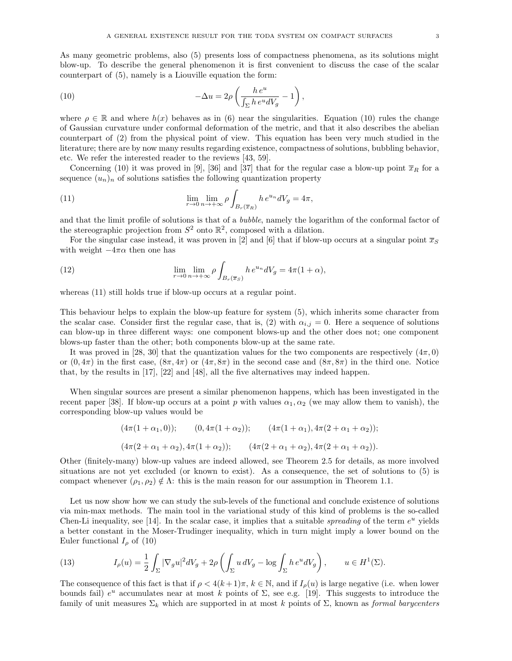(10) 
$$
-\Delta u = 2\rho \left( \frac{h e^u}{\int_{\Sigma} h e^u dV_g} - 1 \right),
$$

where  $\rho \in \mathbb{R}$  and where  $h(x)$  behaves as in (6) near the singularities. Equation (10) rules the change of Gaussian curvature under conformal deformation of the metric, and that it also describes the abelian counterpart of (2) from the physical point of view. This equation has been very much studied in the literature; there are by now many results regarding existence, compactness of solutions, bubbling behavior, etc. We refer the interested reader to the reviews [43, 59].

Concerning (10) it was proved in [9], [36] and [37] that for the regular case a blow-up point  $\bar{x}_R$  for a sequence  $(u_n)_n$  of solutions satisfies the following quantization property

(11) 
$$
\lim_{r \to 0} \lim_{n \to +\infty} \rho \int_{B_r(\overline{x}_R)} h e^{u_n} dV_g = 4\pi,
$$

and that the limit profile of solutions is that of a bubble, namely the logarithm of the conformal factor of the stereographic projection from  $S^2$  onto  $\mathbb{R}^2$ , composed with a dilation.

For the singular case instead, it was proven in [2] and [6] that if blow-up occurs at a singular point  $\bar{x}_S$ with weight  $-4\pi\alpha$  then one has

(12) 
$$
\lim_{r \to 0} \lim_{n \to +\infty} \rho \int_{B_r(\overline{x}_S)} h e^{u_n} dV_g = 4\pi (1+\alpha),
$$

whereas  $(11)$  still holds true if blow-up occurs at a regular point.

This behaviour helps to explain the blow-up feature for system (5), which inherits some character from the scalar case. Consider first the regular case, that is, (2) with  $\alpha_{i,j} = 0$ . Here a sequence of solutions can blow-up in three different ways: one component blows-up and the other does not; one component blows-up faster than the other; both components blow-up at the same rate.

It was proved in [28, 30] that the quantization values for the two components are respectively  $(4\pi, 0)$ or  $(0, 4\pi)$  in the first case,  $(8\pi, 4\pi)$  or  $(4\pi, 8\pi)$  in the second case and  $(8\pi, 8\pi)$  in the third one. Notice that, by the results in [17], [22] and [48], all the five alternatives may indeed happen.

When singular sources are present a similar phenomenon happens, which has been investigated in the recent paper [38]. If blow-up occurs at a point p with values  $\alpha_1, \alpha_2$  (we may allow them to vanish), the corresponding blow-up values would be

$$
(4\pi(1+\alpha_1,0)); \qquad (0,4\pi(1+\alpha_2)); \qquad (4\pi(1+\alpha_1),4\pi(2+\alpha_1+\alpha_2));
$$
  

$$
(4\pi(2+\alpha_1+\alpha_2),4\pi(1+\alpha_2)); \qquad (4\pi(2+\alpha_1+\alpha_2),4\pi(2+\alpha_1+\alpha_2)).
$$

Other (finitely-many) blow-up values are indeed allowed, see Theorem 2.5 for details, as more involved situations are not yet excluded (or known to exist). As a consequence, the set of solutions to (5) is compact whenever  $(\rho_1, \rho_2) \notin \Lambda$ : this is the main reason for our assumption in Theorem 1.1.

Let us now show how we can study the sub-levels of the functional and conclude existence of solutions via min-max methods. The main tool in the variational study of this kind of problems is the so-called Chen-Li inequality, see [14]. In the scalar case, it implies that a suitable *spreading* of the term  $e^u$  yields a better constant in the Moser-Trudinger inequality, which in turn might imply a lower bound on the Euler functional  $I_{\rho}$  of (10)

(13) 
$$
I_{\rho}(u) = \frac{1}{2} \int_{\Sigma} |\nabla_g u|^2 dV_g + 2\rho \left( \int_{\Sigma} u dV_g - \log \int_{\Sigma} h e^u dV_g \right), \qquad u \in H^1(\Sigma).
$$

The consequence of this fact is that if  $\rho < 4(k+1)\pi$ ,  $k \in \mathbb{N}$ , and if  $I_o(u)$  is large negative (i.e. when lower bounds fail)  $e^u$  accumulates near at most k points of  $\Sigma$ , see e.g. [19]. This suggests to introduce the family of unit measures  $\Sigma_k$  which are supported in at most k points of  $\Sigma$ , known as formal barycenters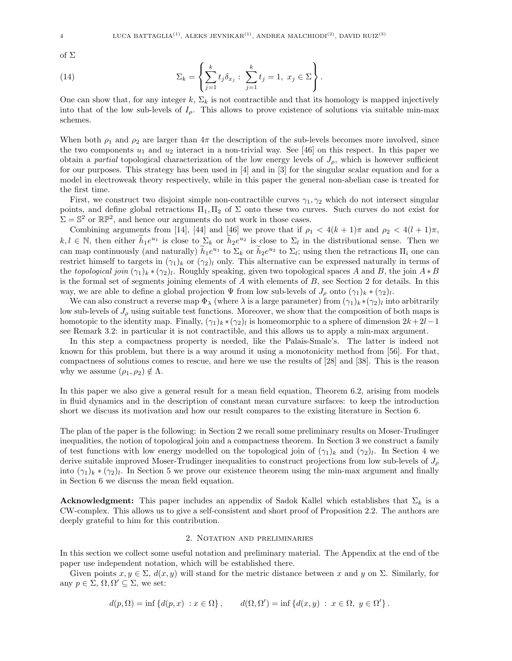of Σ

(14) 
$$
\Sigma_k = \left\{ \sum_{j=1}^k t_j \delta_{x_j} : \sum_{j=1}^k t_j = 1, \ x_j \in \Sigma \right\}.
$$

One can show that, for any integer  $k$ ,  $\Sigma_k$  is not contractible and that its homology is mapped injectively into that of the low sub-levels of  $I_{\rho}$ . This allows to prove existence of solutions via suitable min-max schemes.

When both  $\rho_1$  and  $\rho_2$  are larger than  $4\pi$  the description of the sub-levels becomes more involved, since the two components  $u_1$  and  $u_2$  interact in a non-trivial way. See [46] on this respect. In this paper we obtain a partial topological characterization of the low energy levels of  $J_{\rho}$ , which is however sufficient for our purposes. This strategy has been used in [4] and in [3] for the singular scalar equation and for a model in electroweak theory respectively, while in this paper the general non-abelian case is treated for the first time.

First, we construct two disjoint simple non-contractible curves  $\gamma_1, \gamma_2$  which do not intersect singular points, and define global retractions  $\Pi_1, \Pi_2$  of  $\Sigma$  onto these two curves. Such curves do not exist for  $\Sigma = \mathbb{S}^2$  or  $\mathbb{RP}^2$ , and hence our arguments do not work in those cases.

Combining arguments from [14], [44] and [46] we prove that if  $\rho_1 < 4(k+1)\pi$  and  $\rho_2 < 4(l+1)\pi$ ,  $k, l \in \mathbb{N}$ , then either  $\widetilde{h}_1 e^{u_1}$  is close to  $\Sigma_k$  or  $\widetilde{h}_2 e^{u_2}$  is close to  $\Sigma_l$  in the distributional sense. Then we can map continuously (and naturally)  $\tilde{h}_1 e^{u_1}$  to  $\Sigma_k$  or  $\tilde{h}_2 e^{u_2}$  to  $\Sigma_l$ ; using then the retractions  $\Pi_i$  one can restrict himself to targets in  $(\gamma_1)_k$  or  $(\gamma_2)_l$  only. This alternative can be expressed naturally in terms of the topological join  $(\gamma_1)_k * (\gamma_2)_l$ . Roughly speaking, given two topological spaces A and B, the join  $A * B$ is the formal set of segments joining elements of  $A$  with elements of  $B$ , see Section 2 for details. In this way, we are able to define a global projection  $\Psi$  from low sub-levels of  $J_\rho$  onto  $(\gamma_1)_k \cdot (\gamma_2)_l$ .

We can also construct a reverse map  $\Phi_\lambda$  (where  $\lambda$  is a large parameter) from  $(\gamma_1)_k * (\gamma_2)_l$  into arbitrarily low sub-levels of  $J_\rho$  using suitable test functions. Moreover, we show that the composition of both maps is homotopic to the identity map. Finally,  $(\gamma_1)_k * (\gamma_2)_l$  is homeomorphic to a sphere of dimension  $2k+2l-1$ see Remark 3.2: in particular it is not contractible, and this allows us to apply a min-max argument.

In this step a compactness property is needed, like the Palais-Smale's. The latter is indeed not known for this problem, but there is a way around it using a monotonicity method from [56]. For that, compactness of solutions comes to rescue, and here we use the results of [28] and [38]. This is the reason why we assume  $(\rho_1, \rho_2) \notin \Lambda$ .

In this paper we also give a general result for a mean field equation, Theorem 6.2, arising from models in fluid dynamics and in the description of constant mean curvature surfaces: to keep the introduction short we discuss its motivation and how our result compares to the existing literature in Section 6.

The plan of the paper is the following: in Section 2 we recall some preliminary results on Moser-Trudinger inequalities, the notion of topological join and a compactness theorem. In Section 3 we construct a family of test functions with low energy modelled on the topological join of  $(\gamma_1)_k$  and  $(\gamma_2)_l$ . In Section 4 we derive suitable improved Moser-Trudinger inequalities to construct projections from low sub-levels of  $J_{\rho}$ into  $(\gamma_1)_k * (\gamma_2)_l$ . In Section 5 we prove our existence theorem using the min-max argument and finally in Section 6 we discuss the mean field equation.

**Acknowledgment:** This paper includes an appendix of Sadok Kallel which establishes that  $\Sigma_k$  is a CW-complex. This allows us to give a self-consistent and short proof of Proposition 2.2. The authors are deeply grateful to him for this contribution.

### 2. Notation and preliminaries

In this section we collect some useful notation and preliminary material. The Appendix at the end of the paper use independent notation, which will be established there.

Given points  $x, y \in \Sigma$ ,  $d(x, y)$  will stand for the metric distance between x and y on  $\Sigma$ . Similarly, for any  $p \in \Sigma$ ,  $\Omega$ ,  $\Omega' \subseteq \Sigma$ , we set:

$$
d(p,\Omega) = \inf \{d(p,x) : x \in \Omega\}, \qquad d(\Omega,\Omega') = \inf \{d(x,y) : x \in \Omega, y \in \Omega'\}.
$$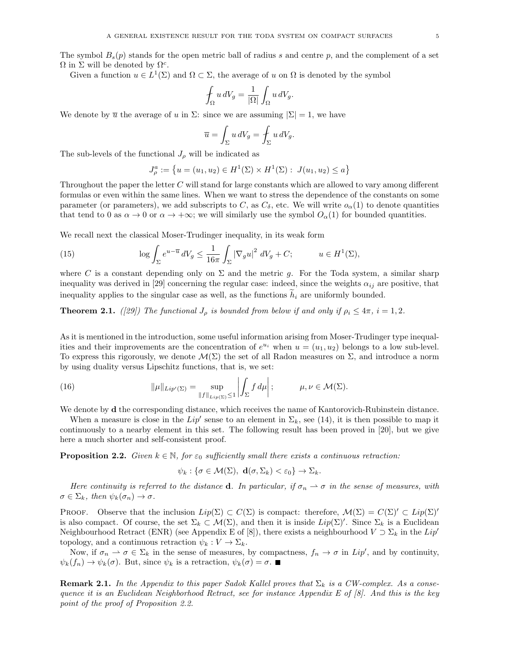The symbol  $B_s(p)$  stands for the open metric ball of radius s and centre p, and the complement of a set  $\Omega$  in  $\Sigma$  will be denoted by  $\Omega^c$ .

Given a function  $u \in L^1(\Sigma)$  and  $\Omega \subset \Sigma$ , the average of u on  $\Omega$  is denoted by the symbol

$$
\oint_{\Omega} u \, dV_g = \frac{1}{|\Omega|} \int_{\Omega} u \, dV_g.
$$

We denote by  $\overline{u}$  the average of u in  $\Sigma$ : since we are assuming  $|\Sigma|=1$ , we have

$$
\overline{u} = \int_{\Sigma} u \, dV_g = \int_{\Sigma} u \, dV_g.
$$

The sub-levels of the functional  $J_{\rho}$  will be indicated as

$$
J_{\rho}^{a} := \left\{ u = (u_1, u_2) \in H^1(\Sigma) \times H^1(\Sigma) : J(u_1, u_2) \le a \right\}
$$

Throughout the paper the letter C will stand for large constants which are allowed to vary among different formulas or even within the same lines. When we want to stress the dependence of the constants on some parameter (or parameters), we add subscripts to C, as  $C_{\delta}$ , etc. We will write  $o_{\alpha}(1)$  to denote quantities that tend to 0 as  $\alpha \to 0$  or  $\alpha \to +\infty$ ; we will similarly use the symbol  $O_{\alpha}(1)$  for bounded quantities.

We recall next the classical Moser-Trudinger inequality, in its weak form

(15) 
$$
\log \int_{\Sigma} e^{u-\overline{u}} dV_g \leq \frac{1}{16\pi} \int_{\Sigma} |\nabla_g u|^2 dV_g + C; \qquad u \in H^1(\Sigma),
$$

where C is a constant depending only on  $\Sigma$  and the metric g. For the Toda system, a similar sharp inequality was derived in [29] concerning the regular case: indeed, since the weights  $\alpha_{ij}$  are positive, that inequality applies to the singular case as well, as the functions  $\tilde{h}_i$  are uniformly bounded.

**Theorem 2.1.** ([29]) The functional  $J_{\rho}$  is bounded from below if and only if  $\rho_i \leq 4\pi$ ,  $i = 1, 2$ .

As it is mentioned in the introduction, some useful information arising from Moser-Trudinger type inequalities and their improvements are the concentration of  $e^{u_i}$  when  $u = (u_1, u_2)$  belongs to a low sub-level. To express this rigorously, we denote  $\mathcal{M}(\Sigma)$  the set of all Radon measures on  $\Sigma$ , and introduce a norm by using duality versus Lipschitz functions, that is, we set:

(16) 
$$
\|\mu\|_{Lip'(\Sigma)} = \sup_{\|f\|_{Lip(\Sigma)} \leq 1} \left| \int_{\Sigma} f d\mu \right|; \qquad \mu, \nu \in \mathcal{M}(\Sigma).
$$

We denote by **d** the corresponding distance, which receives the name of Kantorovich-Rubinstein distance.

When a measure is close in the  $Lip'$  sense to an element in  $\Sigma_k$ , see (14), it is then possible to map it continuously to a nearby element in this set. The following result has been proved in [20], but we give here a much shorter and self-consistent proof.

**Proposition 2.2.** Given  $k \in \mathbb{N}$ , for  $\varepsilon_0$  sufficiently small there exists a continuous retraction:

$$
\psi_k: \{\sigma \in \mathcal{M}(\Sigma), \mathbf{d}(\sigma, \Sigma_k) < \varepsilon_0\} \to \Sigma_k.
$$

Here continuity is referred to the distance **d**. In particular, if  $\sigma_n \rightharpoonup \sigma$  in the sense of measures, with  $\sigma \in \Sigma_k$ , then  $\psi_k(\sigma_n) \to \sigma$ .

**PROOF.** Observe that the inclusion  $Lip(\Sigma) \subset C(\Sigma)$  is compact: therefore,  $\mathcal{M}(\Sigma) = C(\Sigma)' \subset Lip(\Sigma)'$ is also compact. Of course, the set  $\Sigma_k \subset \mathcal{M}(\Sigma)$ , and then it is inside  $Lip(\Sigma)'$ . Since  $\Sigma_k$  is a Euclidean Neighbourhood Retract (ENR) (see Appendix E of [8]), there exists a neighbourhood  $V \supset \sum_k$  in the Lip<sup>t</sup> topology, and a continuous retraction  $\psi_k : V \to \Sigma_k$ .

Now, if  $\sigma_n \to \sigma \in \Sigma_k$  in the sense of measures, by compactness,  $f_n \to \sigma$  in  $Lip'$ , and by continuity,  $\psi_k(f_n) \to \psi_k(\sigma)$ . But, since  $\psi_k$  is a retraction,  $\psi_k(\sigma) = \sigma$ .

**Remark 2.1.** In the Appendix to this paper Sadok Kallel proves that  $\Sigma_k$  is a CW-complex. As a consequence it is an Euclidean Neighborhood Retract, see for instance Appendix E of [8]. And this is the key point of the proof of Proposition 2.2.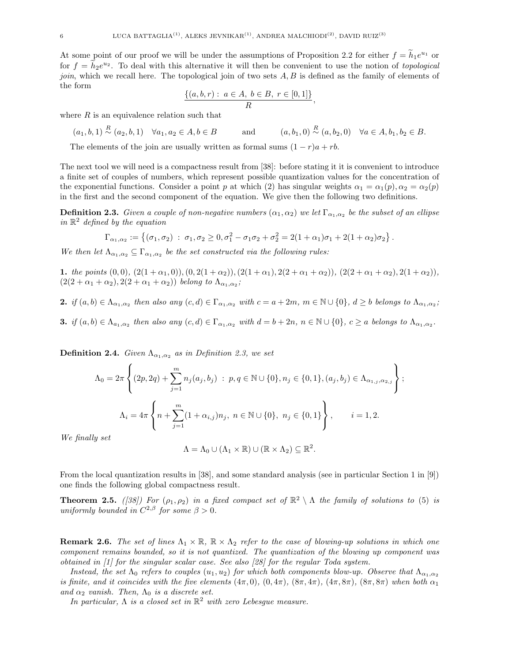At some point of our proof we will be under the assumptions of Proposition 2.2 for either  $f = \tilde{h}_1 e^{u_1}$  or for  $f = \tilde{h}_2 e^{u_2}$ . To deal with this alternative it will then be convenient to use the notion of topological join, which we recall here. The topological join of two sets  $A, B$  is defined as the family of elements of the form

$$
\frac{\{(a,b,r): a \in A, b \in B, r \in [0,1]\}}{R},
$$

where  $R$  is an equivalence relation such that

$$
(a_1, b, 1) \stackrel{R}{\sim} (a_2, b, 1) \quad \forall a_1, a_2 \in A, b \in B
$$
 and  $(a, b_1, 0) \stackrel{R}{\sim} (a, b_2, 0) \quad \forall a \in A, b_1, b_2 \in B$ .

The elements of the join are usually written as formal sums  $(1 - r)a + rb$ .

The next tool we will need is a compactness result from [38]: before stating it it is convenient to introduce a finite set of couples of numbers, which represent possible quantization values for the concentration of the exponential functions. Consider a point p at which (2) has singular weights  $\alpha_1 = \alpha_1(p), \alpha_2 = \alpha_2(p)$ in the first and the second component of the equation. We give then the following two definitions.

**Definition 2.3.** Given a couple of non-negative numbers  $(\alpha_1,\alpha_2)$  we let  $\Gamma_{\alpha_1,\alpha_2}$  be the subset of an ellipse in  $\mathbb{R}^2$  defined by the equation

$$
\Gamma_{\alpha_1,\alpha_2} := \left\{ (\sigma_1,\sigma_2) \; : \; \sigma_1,\sigma_2 \geq 0, \sigma_1^2 - \sigma_1\sigma_2 + \sigma_2^2 = 2(1+\alpha_1)\sigma_1 + 2(1+\alpha_2)\sigma_2 \right\}.
$$

We then let  $\Lambda_{\alpha_1,\alpha_2} \subseteq \Gamma_{\alpha_1,\alpha_2}$  be the set constructed via the following rules:

1. the points  $(0,0)$ ,  $(2(1+\alpha_1,0))$ ,  $(0, 2(1+\alpha_2))$ ,  $(2(1+\alpha_1), 2(2+\alpha_1+\alpha_2))$ ,  $(2(2+\alpha_1+\alpha_2), 2(1+\alpha_2))$ ,  $(2(2+\alpha_1+\alpha_2), 2(2+\alpha_1+\alpha_2))$  belong to  $\Lambda_{\alpha_1,\alpha_2}$ ;

2. if  $(a, b) \in \Lambda_{\alpha_1, \alpha_2}$  then also any  $(c, d) \in \Gamma_{\alpha_1, \alpha_2}$  with  $c = a + 2m$ ,  $m \in \mathbb{N} \cup \{0\}$ ,  $d \geq b$  belongs to  $\Lambda_{\alpha_1, \alpha_2}$ ;

3. if  $(a, b) \in \Lambda_{a_1, \alpha_2}$  then also any  $(c, d) \in \Gamma_{\alpha_1, \alpha_2}$  with  $d = b + 2n$ ,  $n \in \mathbb{N} \cup \{0\}$ ,  $c \ge a$  belongs to  $\Lambda_{\alpha_1, \alpha_2}$ .

**Definition 2.4.** Given  $\Lambda_{\alpha_1,\alpha_2}$  as in Definition 2.3, we set

$$
\Lambda_0 = 2\pi \left\{ (2p, 2q) + \sum_{j=1}^m n_j(a_j, b_j) : p, q \in \mathbb{N} \cup \{0\}, n_j \in \{0, 1\}, (a_j, b_j) \in \Lambda_{\alpha_{1,j}, \alpha_{2,j}} \right\};
$$
  

$$
\Lambda_i = 4\pi \left\{ n + \sum_{j=1}^m (1 + \alpha_{i,j})n_j, n \in \mathbb{N} \cup \{0\}, n_j \in \{0, 1\} \right\}, \qquad i = 1, 2.
$$

We finally set

$$
\Lambda = \Lambda_0 \cup (\Lambda_1 \times \mathbb{R}) \cup (\mathbb{R} \times \Lambda_2) \subseteq \mathbb{R}^2.
$$

From the local quantization results in [38], and some standard analysis (see in particular Section 1 in [9]) one finds the following global compactness result.

**Theorem 2.5.** ([38]) For  $(\rho_1, \rho_2)$  in a fixed compact set of  $\mathbb{R}^2 \setminus \Lambda$  the family of solutions to (5) is uniformly bounded in  $C^{2,\beta}$  for some  $\beta > 0$ .

**Remark 2.6.** The set of lines  $\Lambda_1 \times \mathbb{R}$ ,  $\mathbb{R} \times \Lambda_2$  refer to the case of blowing-up solutions in which one component remains bounded, so it is not quantized. The quantization of the blowing up component was obtained in [1] for the singular scalar case. See also [28] for the regular Toda system.

Instead, the set  $\Lambda_0$  refers to couples  $(u_1, u_2)$  for which both components blow-up. Observe that  $\Lambda_{\alpha_1,\alpha_2}$ is finite, and it coincides with the five elements  $(4\pi, 0), (0, 4\pi), (8\pi, 4\pi), (4\pi, 8\pi), (8\pi, 8\pi)$  when both  $\alpha_1$ and  $\alpha_2$  vanish. Then,  $\Lambda_0$  is a discrete set.

In particular,  $\Lambda$  is a closed set in  $\mathbb{R}^2$  with zero Lebesgue measure.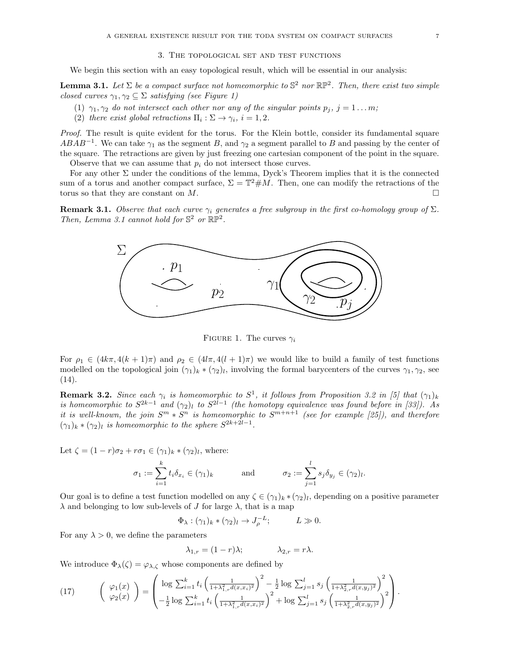We begin this section with an easy topological result, which will be essential in our analysis:

**Lemma 3.1.** Let  $\Sigma$  be a compact surface not homeomorphic to  $\mathbb{S}^2$  nor  $\mathbb{RP}^2$ . Then, there exist two simple closed curves  $\gamma_1, \gamma_2 \subseteq \Sigma$  satisfying (see Figure 1)

- (1)  $\gamma_1, \gamma_2$  do not intersect each other nor any of the singular points  $p_j$ ,  $j = 1 \dots m$ ;
- (2) there exist global retractions  $\Pi_i : \Sigma \to \gamma_i$ ,  $i = 1, 2$ .

Proof. The result is quite evident for the torus. For the Klein bottle, consider its fundamental square  $ABAB^{-1}$ . We can take  $\gamma_1$  as the segment B, and  $\gamma_2$  a segment parallel to B and passing by the center of the square. The retractions are given by just freezing one cartesian component of the point in the square. Observe that we can assume that  $p_i$  do not intersect those curves.

For any other  $\Sigma$  under the conditions of the lemma, Dyck's Theorem implies that it is the connected sum of a torus and another compact surface,  $\Sigma = \mathbb{T}^2 \# M$ . Then, one can modify the retractions of the torus so that they are constant on  $M$ .

**Remark 3.1.** Observe that each curve  $\gamma_i$  generates a free subgroup in the first co-homology group of  $\Sigma$ . Then, Lemma 3.1 cannot hold for  $\mathbb{S}^2$  or  $\mathbb{RP}^2$ .



FIGURE 1. The curves  $\gamma_i$ 

For  $\rho_1 \in (4k\pi, 4(k+1)\pi)$  and  $\rho_2 \in (4l\pi, 4(l+1)\pi)$  we would like to build a family of test functions modelled on the topological join  $(\gamma_1)_k * (\gamma_2)_l$ , involving the formal barycenters of the curves  $\gamma_1, \gamma_2$ , see  $(14).$ 

**Remark 3.2.** Since each  $\gamma_i$  is homeomorphic to  $S^1$ , it follows from Proposition 3.2 in [5] that  $(\gamma_1)_k$ is homeomorphic to  $S^{2k-1}$  and  $(\gamma_2)_l$  to  $S^{2l-1}$  (the homotopy equivalence was found before in [33]). As it is well-known, the join  $S^m * S^n$  is homeomorphic to  $S^{m+n+1}$  (see for example [25]), and therefore  $(\gamma_1)_k \cdot (\gamma_2)_l$  is homeomorphic to the sphere  $S^{2k+2l-1}$ .

Let  $\zeta = (1 - r)\sigma_2 + r\sigma_1 \in (\gamma_1)_k * (\gamma_2)_l$ , where:

$$
\sigma_1 := \sum_{i=1}^k t_i \delta_{x_i} \in (\gamma_1)_k \qquad \text{and} \qquad \sigma_2 := \sum_{j=1}^l s_j \delta_{y_j} \in (\gamma_2)_l
$$

.

Our goal is to define a test function modelled on any  $\zeta \in (\gamma_1)_k * (\gamma_2)_l$ , depending on a positive parameter  $\lambda$  and belonging to low sub-levels of J for large  $\lambda$ , that is a map

$$
\Phi_{\lambda}: (\gamma_1)_k * (\gamma_2)_l \to J_{\rho}^{-L}; \qquad L \gg 0.
$$

For any  $\lambda > 0$ , we define the parameters

$$
\lambda_{1,r} = (1 - r)\lambda; \qquad \lambda_{2,r} = r\lambda.
$$

We introduce  $\Phi_{\lambda}(\zeta) = \varphi_{\lambda,\zeta}$  whose components are defined by

(17) 
$$
\begin{pmatrix} \varphi_1(x) \\ \varphi_2(x) \end{pmatrix} = \begin{pmatrix} \log \sum_{i=1}^k t_i \left( \frac{1}{1+\lambda_{1,r}^2 d(x,x_i)^2} \right)^2 - \frac{1}{2} \log \sum_{j=1}^l s_j \left( \frac{1}{1+\lambda_{2,r}^2 d(x,y_j)^2} \right)^2 \\ - \frac{1}{2} \log \sum_{i=1}^k t_i \left( \frac{1}{1+\lambda_{1,r}^2 d(x,x_i)^2} \right)^2 + \log \sum_{j=1}^l s_j \left( \frac{1}{1+\lambda_{2,r}^2 d(x,y_j)^2} \right)^2 \end{pmatrix}.
$$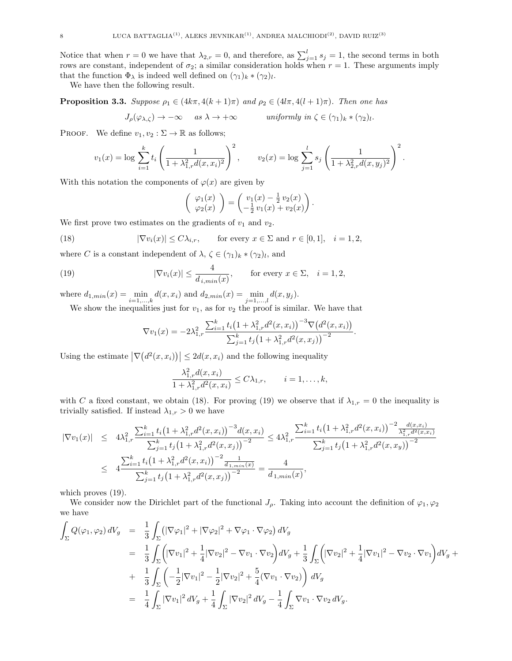Notice that when  $r = 0$  we have that  $\lambda_{2,r} = 0$ , and therefore, as  $\sum_{j=1}^{l} s_j = 1$ , the second terms in both rows are constant, independent of  $\sigma_2$ ; a similar consideration holds when  $r = 1$ . These arguments imply that the function  $\Phi_{\lambda}$  is indeed well defined on  $(\gamma_1)_k \cdot (\gamma_2)_l$ .

We have then the following result.

**Proposition 3.3.** Suppose  $\rho_1 \in (4k\pi, 4(k+1)\pi)$  and  $\rho_2 \in (4l\pi, 4(l+1)\pi)$ . Then one has

$$
J_{\rho}(\varphi_{\lambda,\zeta}) \to -\infty \quad \text{as } \lambda \to +\infty \quad \text{uniformly in } \zeta \in (\gamma_1)_k \ast (\gamma_2)_l.
$$

PROOF. We define  $v_1, v_2 : \Sigma \to \mathbb{R}$  as follows;

$$
v_1(x) = \log \sum_{i=1}^k t_i \left( \frac{1}{1 + \lambda_{1,r}^2 d(x, x_i)^2} \right)^2, \qquad v_2(x) = \log \sum_{j=1}^l s_j \left( \frac{1}{1 + \lambda_{2,r}^2 d(x, y_j)^2} \right)^2.
$$

With this notation the components of  $\varphi(x)$  are given by

$$
\left(\begin{array}{c}\varphi_1(x)\\ \varphi_2(x)\end{array}\right)=\left(\begin{array}{c}\upsilon_1(x)-\frac{1}{2}\,\upsilon_2(x)\\ -\frac{1}{2}\,\upsilon_1(x)+\upsilon_2(x)\end{array}\right).
$$

We first prove two estimates on the gradients of  $v_1$  and  $v_2$ .

(18) 
$$
|\nabla v_i(x)| \le C\lambda_{i,r}, \quad \text{for every } x \in \Sigma \text{ and } r \in [0,1], \quad i = 1,2,
$$

where C is a constant independent of  $\lambda, \zeta \in (\gamma_1)_k \cdot (\gamma_2)_l$ , and

(19) 
$$
|\nabla v_i(x)| \le \frac{4}{d_{i,min}(x)}, \quad \text{for every } x \in \Sigma, \quad i = 1, 2,
$$

where  $d_{1,min}(x) = \min_{i=1,...,k} d(x, x_i)$  and  $d_{2,min}(x) = \min_{j=1,...,l} d(x, y_j)$ .

We show the inequalities just for  $v_1$ , as for  $v_2$  the proof is similar. We have that

$$
\nabla v_1(x) = -2\lambda_{1,r}^2 \frac{\sum_{i=1}^k t_i (1 + \lambda_{1,r}^2 d^2(x, x_i))^{-3} \nabla (d^2(x, x_i))}{\sum_{j=1}^k t_j (1 + \lambda_{1,r}^2 d^2(x, x_j))^{-2}}.
$$

Using the estimate  $\left|\nabla \left(d^2(x, x_i)\right)\right| \leq 2d(x, x_i)$  and the following inequality

$$
\frac{\lambda_{1,r}^2 d(x, x_i)}{1 + \lambda_{1,r}^2 d^2(x, x_i)} \le C\lambda_{1,r}, \qquad i = 1, \dots, k,
$$

with C a fixed constant, we obtain (18). For proving (19) we observe that if  $\lambda_{1,r} = 0$  the inequality is trivially satisfied. If instead  $\lambda_{1,r} > 0$  we have

$$
\begin{split}\n|\nabla v_{1}(x)| &\leq 4\lambda_{1,r}^{2} \frac{\sum_{i=1}^{k} t_{i} \left(1+\lambda_{1,r}^{2} d^{2}(x,x_{i})\right)^{-3} d(x,x_{i})}{\sum_{j=1}^{k} t_{j} \left(1+\lambda_{1,r}^{2} d^{2}(x,x_{j})\right)^{-2}} \leq 4\lambda_{1,r}^{2} \frac{\sum_{i=1}^{k} t_{i} \left(1+\lambda_{1,r}^{2} d^{2}(x,x_{i})\right)^{-2} \frac{d(x,x_{i})}{\sum_{j=1}^{k} t_{j} \left(1+\lambda_{1,r}^{2} d^{2}(x,x_{j})\right)^{-2}}}{\sum_{j=1}^{k} t_{j} \left(1+\lambda_{1,r}^{2} d^{2}(x,x_{j})\right)^{-2} \frac{1}{d_{1,min}(x)}} = \frac{4}{d_{1,min}(x)},\n\end{split}
$$

which proves (19).

We consider now the Dirichlet part of the functional  $J_\rho$ . Taking into account the definition of  $\varphi_1, \varphi_2$ we have

$$
\int_{\Sigma} Q(\varphi_1, \varphi_2) dV_g = \frac{1}{3} \int_{\Sigma} (|\nabla \varphi_1|^2 + |\nabla \varphi_2|^2 + \nabla \varphi_1 \cdot \nabla \varphi_2) dV_g
$$
\n
$$
= \frac{1}{3} \int_{\Sigma} (|\nabla v_1|^2 + \frac{1}{4} |\nabla v_2|^2 - \nabla v_1 \cdot \nabla v_2) dV_g + \frac{1}{3} \int_{\Sigma} (|\nabla v_2|^2 + \frac{1}{4} |\nabla v_1|^2 - \nabla v_2 \cdot \nabla v_1) dV_g +
$$
\n
$$
+ \frac{1}{3} \int_{\Sigma} \left( -\frac{1}{2} |\nabla v_1|^2 - \frac{1}{2} |\nabla v_2|^2 + \frac{5}{4} (\nabla v_1 \cdot \nabla v_2) \right) dV_g
$$
\n
$$
= \frac{1}{4} \int_{\Sigma} |\nabla v_1|^2 dV_g + \frac{1}{4} \int_{\Sigma} |\nabla v_2|^2 dV_g - \frac{1}{4} \int_{\Sigma} \nabla v_1 \cdot \nabla v_2 dV_g.
$$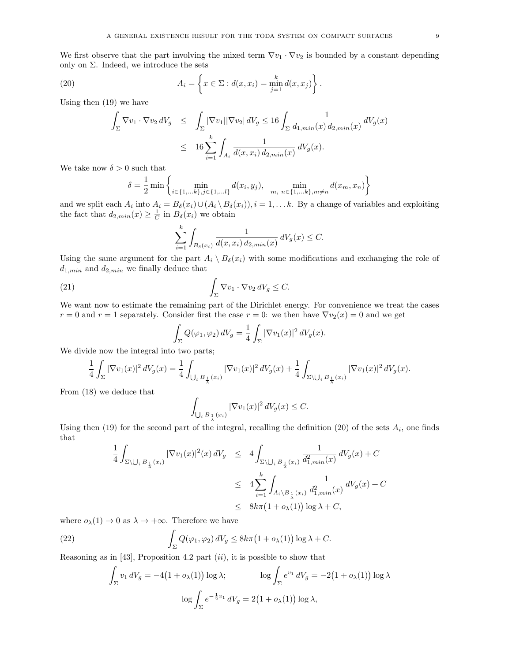We first observe that the part involving the mixed term  $\nabla v_1 \cdot \nabla v_2$  is bounded by a constant depending only on  $\Sigma$ . Indeed, we introduce the sets

(20) 
$$
A_i = \left\{ x \in \Sigma : d(x, x_i) = \min_{j=1}^k d(x, x_j) \right\}.
$$

Using then (19) we have

$$
\int_{\Sigma} \nabla v_1 \cdot \nabla v_2 \, dV_g \le \int_{\Sigma} |\nabla v_1| |\nabla v_2| \, dV_g \le 16 \int_{\Sigma} \frac{1}{d_{1,min}(x) \, d_{2,min}(x)} \, dV_g(x)
$$
  

$$
\le 16 \sum_{i=1}^k \int_{A_i} \frac{1}{d(x, x_i) \, d_{2,min}(x)} \, dV_g(x).
$$

We take now  $\delta > 0$  such that

 $\delta$ 

$$
= \frac{1}{2} \min \left\{ \min_{i \in \{1, \dots, k\}, j \in \{1, \dots l\}} d(x_i, y_j), \min_{m, n \in \{1, \dots, k\}, m \neq n} d(x_m, x_n) \right\}
$$

and we split each  $A_i$  into  $A_i = B_\delta(x_i) \cup (A_i \setminus B_\delta(x_i)), i = 1, \ldots k$ . By a change of variables and exploiting the fact that  $d_{2,min}(x) \geq \frac{1}{C}$  in  $B_{\delta}(x_i)$  we obtain

$$
\sum_{i=1}^{k} \int_{B_{\delta}(x_i)} \frac{1}{d(x, x_i) \, d_{2, min}(x)} \, dV_g(x) \le C.
$$

Using the same argument for the part  $A_i \setminus B_\delta(x_i)$  with some modifications and exchanging the role of  $d_{1,min}$  and  $d_{2,min}$  we finally deduce that

(21) 
$$
\int_{\Sigma} \nabla v_1 \cdot \nabla v_2 \, dV_g \leq C.
$$

We want now to estimate the remaining part of the Dirichlet energy. For convenience we treat the cases  $r = 0$  and  $r = 1$  separately. Consider first the case  $r = 0$ : we then have  $\nabla v_2(x) = 0$  and we get

$$
\int_{\Sigma} Q(\varphi_1, \varphi_2) dV_g = \frac{1}{4} \int_{\Sigma} |\nabla v_1(x)|^2 dV_g(x).
$$

We divide now the integral into two parts;

$$
\frac{1}{4} \int_{\Sigma} |\nabla v_1(x)|^2 \, dV_g(x) = \frac{1}{4} \int_{\bigcup_i B_{\frac{1}{\lambda}}(x_i)} |\nabla v_1(x)|^2 \, dV_g(x) + \frac{1}{4} \int_{\Sigma \setminus \bigcup_i B_{\frac{1}{\lambda}}(x_i)} |\nabla v_1(x)|^2 \, dV_g(x).
$$

From (18) we deduce that

$$
\int_{\bigcup_i B_{\frac{1}{\lambda}}(x_i)} |\nabla v_1(x)|^2 dV_g(x) \leq C.
$$

Using then  $(19)$  for the second part of the integral, recalling the definition  $(20)$  of the sets  $A_i$ , one finds that

$$
\frac{1}{4} \int_{\Sigma \setminus \bigcup_{i} B_{\frac{1}{\lambda}}(x_{i})} |\nabla v_{1}(x)|^{2}(x) dV_{g} \leq 4 \int_{\Sigma \setminus \bigcup_{i} B_{\frac{1}{\lambda}}(x_{i})} \frac{1}{d_{1,min}^{2}(x)} dV_{g}(x) + C
$$
\n
$$
\leq 4 \sum_{i=1}^{k} \int_{A_{i} \setminus B_{\frac{1}{\lambda}}(x_{i})} \frac{1}{d_{1,min}^{2}(x)} dV_{g}(x) + C
$$
\n
$$
\leq 8k\pi (1 + o_{\lambda}(1)) \log \lambda + C,
$$

where  $o_{\lambda}(1) \rightarrow 0$  as  $\lambda \rightarrow +\infty$ . Therefore we have

(22) 
$$
\int_{\Sigma} Q(\varphi_1, \varphi_2) dV_g \leq 8k\pi (1 + o_{\lambda}(1)) \log \lambda + C.
$$

Reasoning as in [43], Proposition 4.2 part  $(ii)$ , it is possible to show that

$$
\int_{\Sigma} v_1 dV_g = -4(1 + o_{\lambda}(1)) \log \lambda; \qquad \log \int_{\Sigma} e^{v_1} dV_g = -2(1 + o_{\lambda}(1)) \log \lambda
$$

$$
\log \int_{\Sigma} e^{-\frac{1}{2}v_1} dV_g = 2(1 + o_{\lambda}(1)) \log \lambda,
$$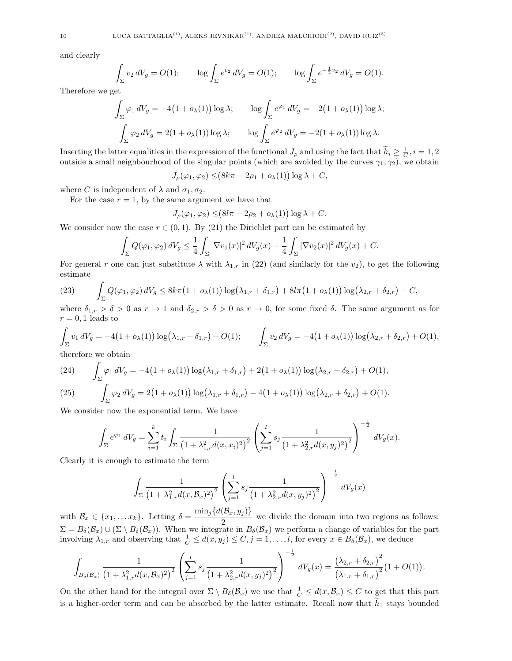and clearly

$$
\int_{\Sigma} v_2 dV_g = O(1); \qquad \log \int_{\Sigma} e^{v_2} dV_g = O(1); \qquad \log \int_{\Sigma} e^{-\frac{1}{2}v_2} dV_g = O(1).
$$

Therefore we get

$$
\int_{\Sigma} \varphi_1 dV_g = -4(1 + o_{\lambda}(1)) \log \lambda; \qquad \log \int_{\Sigma} e^{\varphi_1} dV_g = -2(1 + o_{\lambda}(1)) \log \lambda;
$$

$$
\int_{\Sigma} \varphi_2 dV_g = 2(1 + o_{\lambda}(1)) \log \lambda; \qquad \log \int_{\Sigma} e^{\varphi_2} dV_g = -2(1 + o_{\lambda}(1)) \log \lambda.
$$

Inserting the latter equalities in the expression of the functional  $J_{\rho}$  and using the fact that  $\tilde{h}_i \geq \frac{1}{C}$ ,  $i = 1, 2$ outside a small neighbourhood of the singular points (which are avoided by the curves  $\gamma_1, \gamma_2$ ), we obtain

$$
J_{\rho}(\varphi_1, \varphi_2) \leq (8k\pi - 2\rho_1 + o_{\lambda}(1)) \log \lambda + C,
$$

where C is independent of  $\lambda$  and  $\sigma_1, \sigma_2$ .

For the case  $r = 1$ , by the same argument we have that

$$
J_{\rho}(\varphi_1, \varphi_2) \leq (8l\pi - 2\rho_2 + o_{\lambda}(1)) \log \lambda + C.
$$

We consider now the case  $r \in (0, 1)$ . By (21) the Dirichlet part can be estimated by

$$
\int_{\Sigma} Q(\varphi_1, \varphi_2) dV_g \leq \frac{1}{4} \int_{\Sigma} |\nabla v_1(x)|^2 dV_g(x) + \frac{1}{4} \int_{\Sigma} |\nabla v_2(x)|^2 dV_g(x) + C.
$$

For general r one can just substitute  $\lambda$  with  $\lambda_{1,r}$  in (22) (and similarly for the  $v_2$ ), to get the following estimate

(23) 
$$
\int_{\Sigma} Q(\varphi_1, \varphi_2) dV_g \leq 8k\pi \left(1 + o_{\lambda}(1)\right) \log \left(\lambda_{1,r} + \delta_{1,r}\right) + 8l\pi \left(1 + o_{\lambda}(1)\right) \log \left(\lambda_{2,r} + \delta_{2,r}\right) + C,
$$

where  $\delta_{1,r} > \delta > 0$  as  $r \to 1$  and  $\delta_{2,r} > \delta > 0$  as  $r \to 0$ , for some fixed  $\delta$ . The same argument as for  $r = 0, 1$  leads to

$$
\int_{\Sigma} v_1 dV_g = -4(1 + o_{\lambda}(1)) \log(\lambda_{1,r} + \delta_{1,r}) + O(1); \qquad \int_{\Sigma} v_2 dV_g = -4(1 + o_{\lambda}(1)) \log(\lambda_{2,r} + \delta_{2,r}) + O(1),
$$

therefore we obtain

(24) 
$$
\int_{\Sigma} \varphi_1 dV_g = -4(1 + o_{\lambda}(1)) \log(\lambda_{1,r} + \delta_{1,r}) + 2(1 + o_{\lambda}(1)) \log(\lambda_{2,r} + \delta_{2,r}) + O(1),
$$
  
(25) 
$$
\int_{\Sigma} \varphi_2 dV_g = 2(1 + o_{\lambda}(1)) \log(\lambda_{1,r} + \delta_{1,r}) - 4(1 + o_{\lambda}(1)) \log(\lambda_{2,r} + \delta_{2,r}) + O(1).
$$

We consider now the exponential term. We have

$$
\int_{\Sigma} e^{\varphi_1} dV_g = \sum_{i=1}^k t_i \int_{\Sigma} \frac{1}{\left(1 + \lambda_{1,r}^2 d(x, x_i)^2\right)^2} \left(\sum_{j=1}^l s_j \frac{1}{\left(1 + \lambda_{2,r}^2 d(x, y_j)^2\right)^2}\right)^{-\frac{1}{2}} dV_g(x).
$$

Clearly it is enough to estimate the term

$$
\int_{\Sigma} \frac{1}{\left(1 + \lambda_{1,r}^2 d(x, B_x)^2\right)^2} \left(\sum_{j=1}^l s_j \frac{1}{\left(1 + \lambda_{2,r}^2 d(x, y_j)^2\right)^2}\right)^{-\frac{1}{2}} dV_g(x)
$$

with  $\mathcal{B}_x \in \{x_1, \ldots x_k\}$ . Letting  $\delta = \frac{\min_j \{d(\mathcal{B}_x, y_j)\}}{2}$  $\frac{2}{2}$  we divide the domain into two regions as follows:  $\Sigma = B_{\delta}(\mathcal{B}_x) \cup (\Sigma \setminus B_{\delta}(\mathcal{B}_x)).$  When we integrate in  $B_{\delta}(\mathcal{B}_x)$  we perform a change of variables for the part involving  $\lambda_{1,r}$  and observing that  $\frac{1}{C} \leq d(x,y_j) \leq C, j = 1,\ldots,l$ , for every  $x \in B_\delta(\mathcal{B}_x)$ , we deduce

$$
\int_{B_{\delta}(\mathcal{B}_x)} \frac{1}{\left(1+\lambda_{1,r}^2 d(x,\mathcal{B}_x)^2\right)^2} \left(\sum_{j=1}^l s_j \frac{1}{\left(1+\lambda_{2,r}^2 d(x,y_j)^2\right)^2}\right)^{-\frac{1}{2}} dV_g(x) = \frac{\left(\lambda_{2,r} + \delta_{2,r}\right)^2}{\left(\lambda_{1,r} + \delta_{1,r}\right)^2} \left(1+O(1)\right).
$$

On the other hand for the integral over  $\Sigma \setminus B_{\delta}(\mathcal{B}_x)$  we use that  $\frac{1}{C} \leq d(x, \mathcal{B}_x) \leq C$  to get that this part is a higher-order term and can be absorbed by the latter estimate. Recall now that  $h_1$  stays bounded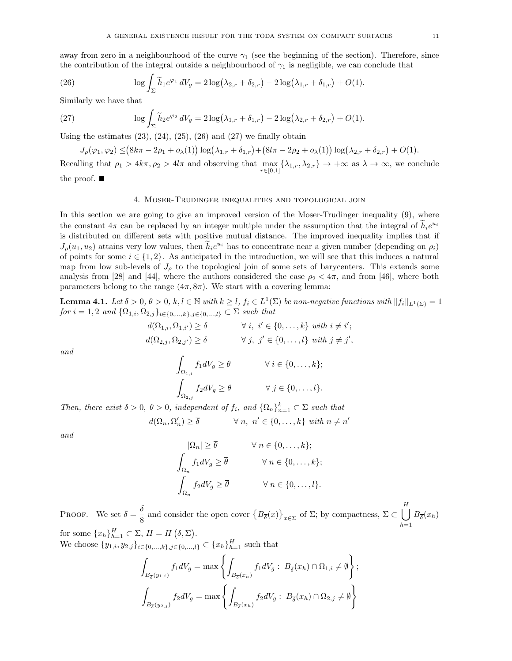away from zero in a neighbourhood of the curve  $\gamma_1$  (see the beginning of the section). Therefore, since the contribution of the integral outside a neighbourhood of  $\gamma_1$  is negligible, we can conclude that

(26) 
$$
\log \int_{\Sigma} \widetilde{h}_1 e^{\varphi_1} dV_g = 2 \log (\lambda_{2,r} + \delta_{2,r}) - 2 \log (\lambda_{1,r} + \delta_{1,r}) + O(1).
$$

Similarly we have that

(27) 
$$
\log \int_{\Sigma} \widetilde{h}_2 e^{\varphi_2} dV_g = 2 \log(\lambda_{1,r} + \delta_{1,r}) - 2 \log(\lambda_{2,r} + \delta_{2,r}) + O(1).
$$

Using the estimates  $(23)$ ,  $(24)$ ,  $(25)$ ,  $(26)$  and  $(27)$  we finally obtain

$$
J_{\rho}(\varphi_1, \varphi_2) \leq (8k\pi - 2\rho_1 + o_{\lambda}(1)) \log(\lambda_{1,r} + \delta_{1,r}) + (8l\pi - 2\rho_2 + o_{\lambda}(1)) \log(\lambda_{2,r} + \delta_{2,r}) + O(1).
$$

Recalling that  $\rho_1 > 4k\pi$ ,  $\rho_2 > 4l\pi$  and observing that  $\max_{r \in [0,1]} {\{\lambda_{1,r}, \lambda_{2,r}\}} \to +\infty$  as  $\lambda \to \infty$ , we conclude the proof.  $\blacksquare$ 

#### 4. Moser-Trudinger inequalities and topological join

In this section we are going to give an improved version of the Moser-Trudinger inequality (9), where the constant  $4\pi$  can be replaced by an integer multiple under the assumption that the integral of  $\tilde{h}_i e^{u_i}$ is distributed on different sets with positive mutual distance. The improved inequality implies that if  $J_{\rho}(u_1, u_2)$  attains very low values, then  $\tilde{h}_i e^{u_i}$  has to concentrate near a given number (depending on  $\rho_i$ ) of points for some  $i \in \{1,2\}$ . As anticipated in the introduction, we will see that this induces a natural map from low sub-levels of  $J_{\rho}$  to the topological join of some sets of barycenters. This extends some analysis from [28] and [44], where the authors considered the case  $\rho_2 < 4\pi$ , and from [46], where both parameters belong to the range  $(4\pi, 8\pi)$ . We start with a covering lemma:

**Lemma 4.1.** Let  $\delta > 0$ ,  $\theta > 0$ ,  $k, l \in \mathbb{N}$  with  $k \geq l$ ,  $f_i \in L^1(\Sigma)$  be non-negative functions with  $||f_i||_{L^1(\Sigma)} = 1$ for  $i = 1, 2$  and  $\{\Omega_{1,i}, \Omega_{2,j}\}_{i \in \{0,\dots,k\}, j \in \{0,\dots,l\}} \subset \Sigma$  such that

$$
d(\Omega_{1,i}, \Omega_{1,i'}) \ge \delta \qquad \forall i, i' \in \{0, \dots, k\} \text{ with } i \ne i';
$$
  

$$
d(\Omega_{2,j}, \Omega_{2,j'}) \ge \delta \qquad \forall j, j' \in \{0, \dots, l\} \text{ with } j \ne j',
$$

and

$$
\int_{\Omega_{1,i}} f_1 dV_g \ge \theta \qquad \forall i \in \{0, \dots, k\};
$$

$$
\int_{\Omega_{2,j}} f_2 dV_g \ge \theta \qquad \forall j \in \{0, \dots, l\}.
$$

Then, there exist  $\bar{\delta} > 0$ ,  $\bar{\theta} > 0$ , independent of  $f_i$ , and  $\{\Omega_n\}_{n=1}^k \subset \Sigma$  such that

$$
d(\Omega_n, \Omega'_n) \ge \overline{\delta} \qquad \forall n, \ n' \in \{0, \dots, k\} \ with \ n \ne n'
$$

and

$$
\begin{aligned}\n|\Omega_n| &\geq \overline{\theta} & \forall \ n \in \{0, \dots, k\}; \\
\int_{\Omega_n} f_1 dV_g &\geq \overline{\theta} & \forall \ n \in \{0, \dots, k\}; \\
\int_{\Omega_n} f_2 dV_g &\geq \overline{\theta} & \forall \ n \in \{0, \dots, l\}.\n\end{aligned}
$$

PROOF. We set  $\overline{\delta} = \frac{\delta}{\delta}$  $\frac{\delta}{8}$  and consider the open cover  $\{B_{\overline{\delta}}(x)\}_{x\in\Sigma}$  of Σ; by compactness,  $\Sigma \subset \bigcup_{\beta=1}^H$  $h=1$  $B_{\overline{\delta}}(x_h)$ for some  $\{x_h\}_{h=1}^H \subset \Sigma$ ,  $H = H(\overline{\delta}, \Sigma)$ .

We choose 
$$
\{y_{1,i}, y_{2,j}\}_{i \in \{0,\ldots,k\}, j \in \{0,\ldots,l\}} \subset \{x_h\}_{h=1}^H
$$
 such that

$$
\int_{B_{\overline{\delta}}(y_{1,i})} f_1 dV_g = \max \left\{ \int_{B_{\overline{\delta}}(x_h)} f_1 dV_g : B_{\overline{\delta}}(x_h) \cap \Omega_{1,i} \neq \emptyset \right\};
$$
  

$$
\int_{B_{\overline{\delta}}(y_{2,j})} f_2 dV_g = \max \left\{ \int_{B_{\overline{\delta}}(x_h)} f_2 dV_g : B_{\overline{\delta}}(x_h) \cap \Omega_{2,j} \neq \emptyset \right\}
$$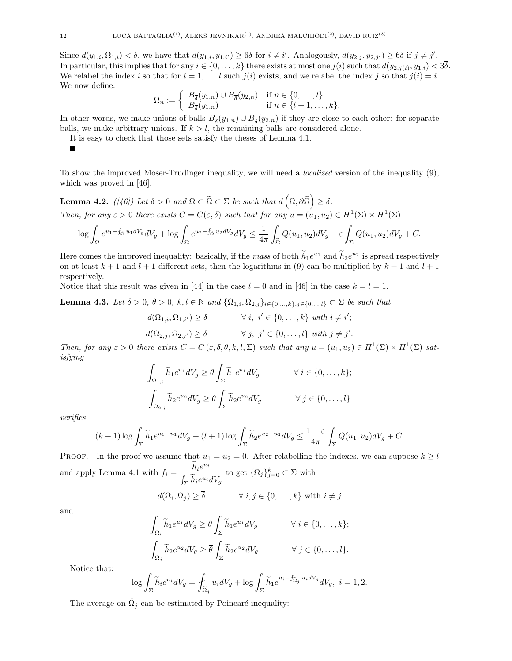Since  $d(y_{1,i}, \Omega_{1,i}) < \overline{\delta}$ , we have that  $d(y_{1,i}, y_{1,i'}) \geq 6\overline{\delta}$  for  $i \neq i'$ . Analogously,  $d(y_{2,i}, y_{2,i'}) \geq 6\overline{\delta}$  if  $j \neq j'$ . In particular, this implies that for any  $i \in \{0, \ldots, k\}$  there exists at most one  $j(i)$  such that  $d(y_{2,j(i)}, y_{1,i}) < 3\delta$ . We relabel the index i so that for  $i = 1, \ldots l$  such  $j(i)$  exists, and we relabel the index j so that  $j(i) = i$ . We now define:

$$
\Omega_n := \left\{ \begin{array}{ll} B_{\overline{\delta}}(y_{1,n}) \cup B_{\overline{\delta}}(y_{2,n}) & \text{if } n \in \{0,\ldots,l\} \\ B_{\overline{\delta}}(y_{1,n}) & \text{if } n \in \{l+1,\ldots,k\}. \end{array} \right.
$$

In other words, we make unions of balls  $B_{\overline{\delta}}(y_{1,n}) \cup B_{\overline{\delta}}(y_{2,n})$  if they are close to each other: for separate balls, we make arbitrary unions. If  $k > l$ , the remaining balls are considered alone.

It is easy to check that those sets satisfy the theses of Lemma 4.1.

п

To show the improved Moser-Trudinger inequality, we will need a localized version of the inequality (9), which was proved in [46].

Lemma 4.2. ([46]) Let  $\delta > 0$  and  $\Omega \Subset \widetilde{\Omega} \subset \Sigma$  be such that  $d\left(\Omega, \partial \widetilde{\Omega}\right) \geq \delta$ .

Then, for any  $\varepsilon > 0$  there exists  $C = C(\varepsilon, \delta)$  such that for any  $u = (u_1, u_2) \in H^1(\Sigma) \times H^1(\Sigma)$ 

$$
\log \int_{\Omega} e^{u_1 - f_{\tilde{\Omega}} u_1 dV_g} dV_g + \log \int_{\Omega} e^{u_2 - f_{\tilde{\Omega}} u_2 dV_g} dV_g \le \frac{1}{4\pi} \int_{\tilde{\Omega}} Q(u_1, u_2) dV_g + \varepsilon \int_{\Sigma} Q(u_1, u_2) dV_g + C.
$$

Here comes the improved inequality: basically, if the mass of both  $\widetilde{h}_1e^{u_1}$  and  $\widetilde{h}_2e^{u_2}$  is spread respectively on at least  $k + 1$  and  $l + 1$  different sets, then the logarithms in (9) can be multiplied by  $k + 1$  and  $l + 1$ respectively.

Notice that this result was given in [44] in the case  $l = 0$  and in [46] in the case  $k = l = 1$ .

**Lemma 4.3.** Let  $\delta > 0$ ,  $\theta > 0$ ,  $k, l \in \mathbb{N}$  and  $\{\Omega_{1,i}, \Omega_{2,j}\}_{i \in \{0,\dots,k\}, j \in \{0,\dots,l\}} \subset \Sigma$  be such that

$$
d(\Omega_{1,i}, \Omega_{1,i'}) \ge \delta \qquad \forall i, i' \in \{0, \dots, k\} \text{ with } i \ne i';
$$
  

$$
d(\Omega_{2,j}, \Omega_{2,j'}) \ge \delta \qquad \forall j, j' \in \{0, \dots, l\} \text{ with } j \ne j'.
$$

Then, for any  $\varepsilon > 0$  there exists  $C = C(\varepsilon, \delta, \theta, k, l, \Sigma)$  such that any  $u = (u_1, u_2) \in H^1(\Sigma) \times H^1(\Sigma)$  satisfying

$$
\int_{\Omega_{1,i}} \widetilde{h}_1 e^{u_1} dV_g \ge \theta \int_{\Sigma} \widetilde{h}_1 e^{u_1} dV_g \qquad \forall i \in \{0, \dots, k\};
$$

$$
\int_{\Omega_{2,j}} \widetilde{h}_2 e^{u_2} dV_g \ge \theta \int_{\Sigma} \widetilde{h}_2 e^{u_2} dV_g \qquad \forall j \in \{0, \dots, l\}
$$

verifies

$$
(k+1)\log\int_{\Sigma}\widetilde{h}_1e^{u_1-\overline{u_1}}dV_g+(l+1)\log\int_{\Sigma}\widetilde{h}_2e^{u_2-\overline{u_2}}dV_g\leq \frac{1+\varepsilon}{4\pi}\int_{\Sigma}Q(u_1,u_2)dV_g+C.
$$

PROOF. In the proof we assume that  $\overline{u_1} = \overline{u_2} = 0$ . After relabelling the indexes, we can suppose  $k \geq l$ and apply Lemma 4.1 with  $f_i = \frac{\tilde{h}_i e^{u_i}}{e \tilde{\chi}}$  $\int_{\Sigma} h_i e^{u_i} dV_g$ to get  $\{\Omega_j\}_{j=0}^k \subset \Sigma$  with

$$
d(\Omega_i, \Omega_j) \ge \overline{\delta} \qquad \forall i, j \in \{0, \dots, k\} \text{ with } i \ne j
$$

and

$$
\int_{\Omega_i} \widetilde{h}_1 e^{u_1} dV_g \ge \overline{\theta} \int_{\Sigma} \widetilde{h}_1 e^{u_1} dV_g \qquad \forall i \in \{0, ..., k\};
$$

$$
\int_{\Omega_j} \widetilde{h}_2 e^{u_2} dV_g \ge \overline{\theta} \int_{\Sigma} \widetilde{h}_2 e^{u_2} dV_g \qquad \forall j \in \{0, ..., l\}.
$$

Notice that:

$$
\log \int_{\Sigma} \widetilde{h}_i e^{u_i} dV_g = \int_{\widetilde{\Omega}_j} u_i dV_g + \log \int_{\Sigma} \widetilde{h}_1 e^{u_i - f_{\widetilde{\Omega}_j} u_i dV_g} dV_g, \ i = 1, 2.
$$

The average on  $\tilde{\Omega}_i$  can be estimated by Poincaré inequality: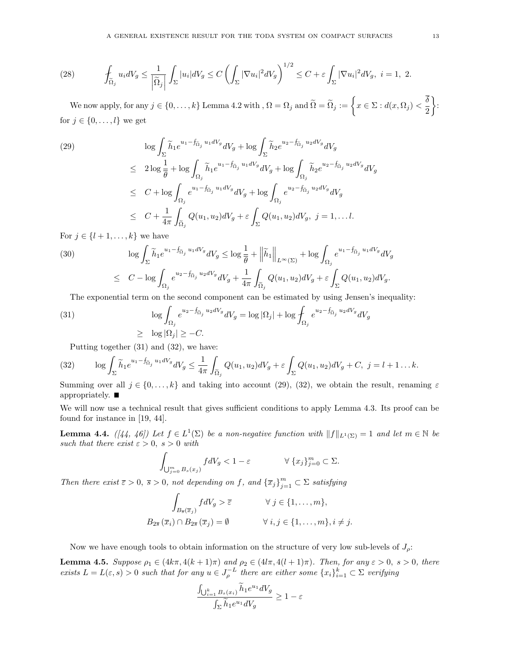(28) 
$$
\int_{\widetilde{\Omega}_j} u_i dV_g \leq \frac{1}{\left|\widetilde{\Omega}_j\right|} \int_{\Sigma} |u_i| dV_g \leq C \left(\int_{\Sigma} |\nabla u_i|^2 dV_g\right)^{1/2} \leq C + \varepsilon \int_{\Sigma} |\nabla u_i|^2 dV_g, \ i = 1, 2.
$$

We now apply, for any  $j \in \{0,\ldots,k\}$  Lemma 4.2 with ,  $\Omega = \Omega_j$  and  $\widetilde{\Omega} = \widetilde{\Omega}_j := \left\{x \in \Sigma : d(x,\Omega_j) < \frac{\delta}{2}\right\}$ 2  $\big\}$ : for  $j \in \{0, \ldots, l\}$  we get

$$
(29) \qquad \log \int_{\Sigma} \tilde{h}_1 e^{u_1 - f_{\tilde{\Omega}_j} u_1 dV_g} dV_g + \log \int_{\Sigma} \tilde{h}_2 e^{u_2 - f_{\tilde{\Omega}_j} u_2 dV_g} dV_g
$$
\n
$$
\leq 2 \log \frac{1}{\theta} + \log \int_{\Omega_j} \tilde{h}_1 e^{u_1 - f_{\tilde{\Omega}_j} u_1 dV_g} dV_g + \log \int_{\Omega_j} \tilde{h}_2 e^{u_2 - f_{\tilde{\Omega}_j} u_2 dV_g} dV_g
$$
\n
$$
\leq C + \log \int_{\Omega_j} e^{u_1 - f_{\tilde{\Omega}_j} u_1 dV_g} dV_g + \log \int_{\Omega_j} e^{u_2 - f_{\tilde{\Omega}_j} u_2 dV_g} dV_g
$$
\n
$$
\leq C + \frac{1}{4\pi} \int_{\tilde{\Omega}_j} Q(u_1, u_2) dV_g + \varepsilon \int_{\Sigma} Q(u_1, u_2) dV_g, \ j = 1, \dots l.
$$

For  $j \in \{l+1,\ldots,k\}$  we have

(30) 
$$
\log \int_{\Sigma} \widetilde{h}_1 e^{u_1 - \widetilde{f}_{\widetilde{\Omega}_j} u_1 dV_g} dV_g \le \log \frac{1}{\overline{\theta}} + \left\| \widetilde{h}_1 \right\|_{L^{\infty}(\Sigma)} + \log \int_{\Omega_j} e^{u_1 - \widetilde{f}_{\widetilde{\Omega}_j} u_1 dV_g} dV_g
$$

$$
\leq C - \log \int_{\Omega_j} e^{u_2 - \widetilde{f}_{\widetilde{\Omega}_j} u_2 dV_g} dV_g + \frac{1}{4\pi} \int_{\widetilde{\Omega}_j} Q(u_1, u_2) dV_g + \varepsilon \int_{\Sigma} Q(u_1, u_2) dV_g.
$$

The exponential term on the second component can be estimated by using Jensen's inequality:

(31) 
$$
\log \int_{\Omega_j} e^{u_2 - f_{\widetilde{\Omega}_j} u_2 dV_g} dV_g = \log |\Omega_j| + \log \int_{\Omega_j} e^{u_2 - f_{\widetilde{\Omega}_j} u_2 dV_g} dV_g
$$

$$
\geq \log |\Omega_j| \geq -C.
$$

Putting together (31) and (32), we have:

(32) 
$$
\log \int_{\Sigma} \widetilde{h}_1 e^{u_1 - f_{\widetilde{\Omega}_j} u_1 dV_g} dV_g \leq \frac{1}{4\pi} \int_{\widetilde{\Omega}_j} Q(u_1, u_2) dV_g + \varepsilon \int_{\Sigma} Q(u_1, u_2) dV_g + C, \ j = l + 1 \dots k.
$$

Summing over all  $j \in \{0, \ldots, k\}$  and taking into account (29), (32), we obtain the result, renaming  $\varepsilon$ appropriately.  $\blacksquare$ 

We will now use a technical result that gives sufficient conditions to apply Lemma 4.3. Its proof can be found for instance in [19, 44].

**Lemma 4.4.**  $([44, 46])$  Let  $f \in L^1(\Sigma)$  be a non-negative function with  $||f||_{L^1(\Sigma)} = 1$  and let  $m \in \mathbb{N}$  be such that there exist  $\varepsilon > 0$ ,  $s > 0$  with

$$
\int_{\bigcup_{j=0}^m B_s(x_j)} f dV_g < 1 - \varepsilon \qquad \forall \ \{x_j\}_{j=0}^m \subset \Sigma.
$$

Then there exist  $\overline{\varepsilon} > 0$ ,  $\overline{s} > 0$ , not depending on f, and  $\{\overline{x}_j\}_{j=1}^m \subset \Sigma$  satisfying

$$
\int_{B_{\overline{s}}(\overline{x}_j)} f dV_g > \overline{\varepsilon} \qquad \forall j \in \{1, ..., m\},
$$
  

$$
B_{2\overline{s}}(\overline{x}_i) \cap B_{2\overline{s}}(\overline{x}_j) = \emptyset \qquad \forall i, j \in \{1, ..., m\}, i \neq j.
$$

Now we have enough tools to obtain information on the structure of very low sub-levels of  $J_{\rho}$ :

**Lemma 4.5.** Suppose  $\rho_1 \in (4k\pi, 4(k+1)\pi)$  and  $\rho_2 \in (4l\pi, 4(l+1)\pi)$ . Then, for any  $\varepsilon > 0$ ,  $s > 0$ , there exists  $L = L(\varepsilon, s) > 0$  such that for any  $u \in J_\rho^{-L}$  there are either some  $\{x_i\}_{i=1}^k \subset \Sigma$  verifying

$$
\frac{\int_{\bigcup_{i=1}^k B_s(x_i)} \tilde{h}_1 e^{u_1} dV_g}{\int_{\Sigma} \tilde{h}_1 e^{u_1} dV_g} \ge 1 - \varepsilon
$$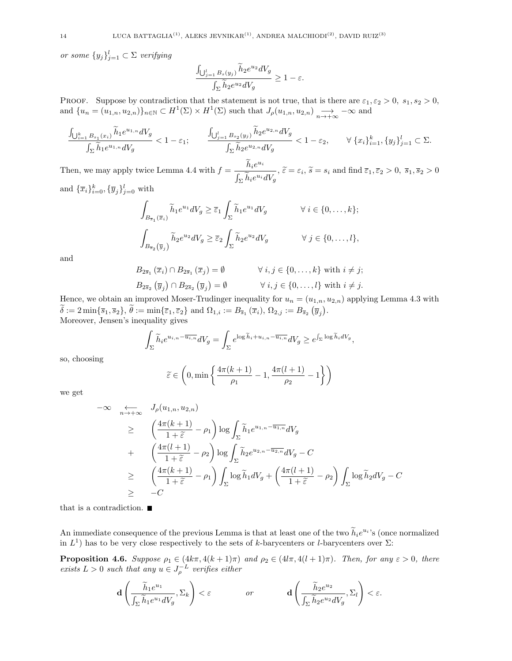or some  $\{y_j\}_{j=1}^l \subset \Sigma$  verifying

$$
\frac{\int_{\bigcup_{j=1}^l B_s(y_j)} h_2 e^{u_2} dV_g}{\int_{\Sigma} \widetilde{h}_2 e^{u_2} dV_g} \ge 1 - \varepsilon.
$$

PROOF. Suppose by contradiction that the statement is not true, that is there are  $\varepsilon_1, \varepsilon_2 > 0$ ,  $s_1, s_2 > 0$ , and  $\{u_n = (u_{1,n}, u_{2,n})\}_{n \in \mathbb{N}} \subset H^1(\Sigma) \times H^1(\Sigma)$  such that  $J_\rho(u_{1,n}, u_{2,n}) \longrightarrow_{n \to +\infty} -\infty$  and

$$
\frac{\int_{\bigcup_{i=1}^k B_{s_1}(x_i)} \tilde{h}_1 e^{u_{1,n}} dV_g}{\int_{\Sigma} \tilde{h}_1 e^{u_{1,n}} dV_g} < 1 - \varepsilon_1; \qquad \frac{\int_{\bigcup_{j=1}^l B_{s_2}(y_j)} \tilde{h}_2 e^{u_{2,n}} dV_g}{\int_{\Sigma} \tilde{h}_2 e^{u_{2,n}} dV_g} < 1 - \varepsilon_2, \qquad \forall \{x_i\}_{i=1}^k, \{y_j\}_{j=1}^l \subset \Sigma.
$$

Then, we may apply twice Lemma 4.4 with  $f = \frac{\tilde{h}_i e^{u_i}}{e^{\tilde{\chi}}$  $\frac{\partial u_i}{\partial \sum \tilde{h}_i e^{u_i} dV_g}, \tilde{\varepsilon} = \varepsilon_i, \tilde{s} = s_i \text{ and find } \bar{\varepsilon}_1, \bar{\varepsilon}_2 > 0, \bar{s}_1, \bar{s}_2 > 0$ and  ${\lbrace \overline{x}_i \rbrace_{i=0}^k, \lbrace \overline{y}_j \rbrace_{j=0}^l}$  with

$$
\int_{B_{\overline{s}_1}(\overline{x}_i)} \widetilde{h}_1 e^{u_1} dV_g \ge \overline{\varepsilon}_1 \int_{\Sigma} \widetilde{h}_1 e^{u_1} dV_g \qquad \forall i \in \{0, \dots, k\};
$$
  

$$
\int_{B_{\overline{s}_2}(\overline{y}_j)} \widetilde{h}_2 e^{u_2} dV_g \ge \overline{\varepsilon}_2 \int_{\Sigma} \widetilde{h}_2 e^{u_2} dV_g \qquad \forall j \in \{0, \dots, l\},
$$

and

$$
B_{2\overline{s}_1}(\overline{x}_i) \cap B_{2\overline{s}_1}(\overline{x}_j) = \emptyset \qquad \forall i, j \in \{0, \dots, k\} \text{ with } i \neq j;
$$
  

$$
B_{2\overline{s}_2}(\overline{y}_j) \cap B_{2\overline{s}_2}(\overline{y}_j) = \emptyset \qquad \forall i, j \in \{0, \dots, l\} \text{ with } i \neq j.
$$

Hence, we obtain an improved Moser-Trudinger inequality for  $u_n = (u_{1,n}, u_{2,n})$  applying Lemma 4.3 with  $\delta := 2 \min\{\overline{s}_1, \overline{s}_2\}, \ \theta := \min\{\overline{\varepsilon}_1, \overline{\varepsilon}_2\} \ \text{and} \ \Omega_{1,i} := B_{\overline{s}_1}\left(\overline{x}_i\right), \ \Omega_{2,j} := B_{\overline{s}_2}\left(\overline{y}_j\right).$ Moreover, Jensen's inequality gives

$$
\int_{\Sigma} \widetilde{h}_i e^{u_{i,n} - \overline{u_{i,n}}} dV_g = \int_{\Sigma} e^{\log \widetilde{h}_i + u_{i,n} - \overline{u_{i,n}}} dV_g \ge e^{\int_{\Sigma} \log \widetilde{h}_i dV_g},
$$

so, choosing

$$
\widetilde{\varepsilon} \in \left(0, \min\left\{\frac{4\pi(k+1)}{\rho_1} - 1, \frac{4\pi(l+1)}{\rho_2} - 1\right\}\right)
$$

we get

$$
-\infty \quad \underset{n \to +\infty}{\longleftrightarrow} \quad J_{\rho}(u_{1,n}, u_{2,n})
$$
\n
$$
\geq \quad \left(\frac{4\pi(k+1)}{1+\widetilde{\varepsilon}} - \rho_1\right) \log \int_{\Sigma} \widetilde{h}_1 e^{u_{1,n} - \overline{u_{1,n}}} dV_g
$$
\n
$$
+ \quad \left(\frac{4\pi(l+1)}{1+\widetilde{\varepsilon}} - \rho_2\right) \log \int_{\Sigma} \widetilde{h}_2 e^{u_{2,n} - \overline{u_{2,n}}} dV_g - C
$$
\n
$$
\geq \quad \left(\frac{4\pi(k+1)}{1+\widetilde{\varepsilon}} - \rho_1\right) \int_{\Sigma} \log \widetilde{h}_1 dV_g + \left(\frac{4\pi(l+1)}{1+\widetilde{\varepsilon}} - \rho_2\right) \int_{\Sigma} \log \widetilde{h}_2 dV_g - C
$$
\n
$$
\geq -C
$$

that is a contradiction.  $\blacksquare$ 

An immediate consequence of the previous Lemma is that at least one of the two  $\tilde{h}_i e^{u_i}$ 's (once normalized in  $L^1$ ) has to be very close respectively to the sets of k-barycenters or l-barycenters over  $\Sigma$ :

**Proposition 4.6.** Suppose  $\rho_1 \in (4k\pi, 4(k+1)\pi)$  and  $\rho_2 \in (4l\pi, 4(l+1)\pi)$ . Then, for any  $\varepsilon > 0$ , there exists  $L > 0$  such that any  $u \in J_{\rho}^{-L}$  verifies either

$$
\mathbf{d}\left(\frac{\widetilde{h}_1e^{u_1}}{\int_{\Sigma}\widetilde{h}_1e^{u_1}dV_g},\Sigma_k\right)<\varepsilon \hspace{1cm}\text{or}\hspace{1cm}\mathbf{d}\left(\frac{\widetilde{h}_2e^{u_2}}{\int_{\Sigma}\widetilde{h}_2e^{u_2}dV_g},\Sigma_l\right)<\varepsilon.
$$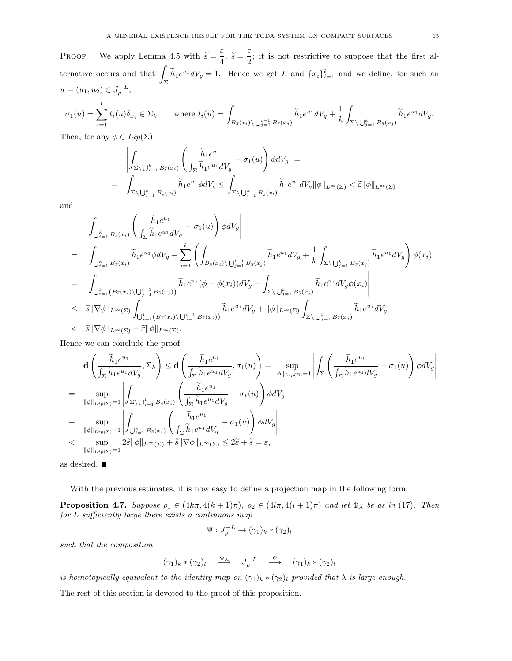PROOF. We apply Lemma 4.5 with  $\tilde{\varepsilon} = \frac{\varepsilon}{4}$  $\frac{\varepsilon}{4}$ ,  $\widetilde{s} = \frac{\varepsilon}{2}$  $\frac{1}{2}$ ; it is not restrictive to suppose that the first alternative occurs and that  $\int$  $\left\{\begin{array}{l}\tilde{h}_1e^{u_1}dV_g=1.\end{array}\right.$  Hence we get L and  $\{x_i\}_{i=1}^k$  and we define, for such an  $u = (u_1, u_2) \in J_\rho^{-L},$ 

$$
\sigma_1(u) = \sum_{i=1}^k t_i(u)\delta_{x_i} \in \Sigma_k \qquad \text{where } t_i(u) = \int_{B_{\tilde{s}}(x_i) \backslash \bigcup_{j=1}^{i-1} B_{\tilde{s}}(x_j)} \tilde{h}_1 e^{u_1} dV_g + \frac{1}{k} \int_{\Sigma \backslash \bigcup_{j=1}^k B_{\tilde{s}}(x_j)} \tilde{h}_1 e^{u_1} dV_g.
$$

Then, for any  $\phi \in Lip(\Sigma)$ ,

$$
\left| \int_{\Sigma \setminus \bigcup_{i=1}^k B_{\tilde{s}}(x_i)} \left( \frac{\tilde{h}_1 e^{u_1}}{\int_{\Sigma} \tilde{h}_1 e^{u_1} dV_g} - \sigma_1(u) \right) \phi dV_g \right| =
$$
\n
$$
= \left| \int_{\Sigma \setminus \bigcup_{i=1}^k B_{\tilde{s}}(x_i)} \tilde{h}_1 e^{u_1} \phi dV_g \le \int_{\Sigma \setminus \bigcup_{i=1}^k B_{\tilde{s}}(x_i)} \tilde{h}_1 e^{u_1} dV_g \|\phi\|_{L^{\infty}(\Sigma)} < \tilde{\epsilon} \|\phi\|_{L^{\infty}(\Sigma)}
$$

and

$$
\begin{split}\n&\left|\int_{\bigcup_{i=1}^k B_{\tilde{s}}(x_i)} \left( \frac{\tilde{h}_1 e^{u_1}}{\int_{\Sigma} \tilde{h}_1 e^{u_1} dV_g} - \sigma_1(u) \right) \phi dV_g \right| \\
&= \left|\int_{\bigcup_{i=1}^k B_{\tilde{s}}(x_i)} \tilde{h}_1 e^{u_1} \phi dV_g - \sum_{i=1}^k \left( \int_{B_{\tilde{s}}(x_i) \setminus \bigcup_{j=1}^{i-1} B_{\tilde{s}}(x_j)} \tilde{h}_1 e^{u_1} dV_g + \frac{1}{k} \int_{\Sigma \setminus \bigcup_{j=1}^k B_{\tilde{s}}(x_j)} \tilde{h}_1 e^{u_1} dV_g \right) \phi(x_i) \right| \\
&= \left|\int_{\bigcup_{i=1}^k (B_{\tilde{s}}(x_i) \setminus \bigcup_{j=1}^{i-1} B_{\tilde{s}}(x_j)} \tilde{h}_1 e^{u_1} (\phi - \phi(x_i)) dV_g - \int_{\Sigma \setminus \bigcup_{j=1}^k B_{\tilde{s}}(x_j)} \tilde{h}_1 e^{u_1} dV_g \phi(x_i) \right| \\
&\leq \tilde{s} \|\nabla \phi\|_{L^\infty(\Sigma)} \int_{\bigcup_{k=1}^k (B_{\tilde{s}}(x_i) \setminus \bigcup_{j=1}^{i-1} B_{\tilde{s}}(x_j)} \tilde{h}_1 e^{u_1} dV_g + \|\phi\|_{L^\infty(\Sigma)} \int_{\Sigma \setminus \bigcup_{j=1}^k B_{\tilde{s}}(x_j)} \tilde{h}_1 e^{u_1} dV_g \\
&< \tilde{s} \|\nabla \phi\|_{L^\infty(\Sigma)} + \tilde{\varepsilon} \|\phi\|_{L^\infty(\Sigma)}.\n\end{split}
$$

Hence we can conclude the proof:

$$
\mathbf{d}\left(\frac{\tilde{h}_1 e^{u_1}}{\int_{\Sigma} \tilde{h}_1 e^{u_1} dV_g}, \Sigma_k\right) \leq \mathbf{d}\left(\frac{\tilde{h}_1 e^{u_1}}{\int_{\Sigma} \tilde{h}_1 e^{u_1} dV_g}, \sigma_1(u)\right) = \sup_{\|\phi\|_{Lip(\Sigma)}=1} \left| \int_{\Sigma} \left(\frac{\tilde{h}_1 e^{u_1}}{\int_{\Sigma} \tilde{h}_1 e^{u_1} dV_g} - \sigma_1(u)\right) \phi dV_g \right|
$$
\n
$$
= \sup_{\|\phi\|_{Lip(\Sigma)}=1} \left| \int_{\Sigma \setminus \bigcup_{i=1}^k B_{\tilde{s}}(x_i)} \left(\frac{\tilde{h}_1 e^{u_1}}{\int_{\Sigma} \tilde{h}_1 e^{u_1} dV_g} - \sigma_1(u)\right) \phi dV_g \right|
$$
\n
$$
+ \sup_{\|\phi\|_{Lip(\Sigma)}=1} \left| \int_{\bigcup_{i=1}^k B_{\tilde{s}}(x_i)} \left(\frac{\tilde{h}_1 e^{u_1}}{\int_{\Sigma} \tilde{h}_1 e^{u_1} dV_g} - \sigma_1(u)\right) \phi dV_g \right|
$$
\n
$$
< \sup_{\|\phi\|_{Lip(\Sigma)}=1} 2\tilde{\varepsilon} \|\phi\|_{L^{\infty}(\Sigma)} + \tilde{s} \|\nabla \phi\|_{L^{\infty}(\Sigma)} \leq 2\tilde{\varepsilon} + \tilde{s} = \varepsilon,
$$

as desired.

With the previous estimates, it is now easy to define a projection map in the following form:

**Proposition 4.7.** Suppose  $\rho_1 \in (4k\pi, 4(k+1)\pi)$ ,  $\rho_2 \in (4l\pi, 4(l+1)\pi)$  and let  $\Phi_{\lambda}$  be as in (17). Then for L sufficiently large there exists a continuous map

$$
\Psi:J_{\rho}^{-L}\to(\gamma_1)_k*(\gamma_2)_l
$$

such that the composition

$$
(\gamma_1)_k \ast (\gamma_2)_l \quad \stackrel{\Phi_\lambda}{\longrightarrow} \quad J_\rho^{-L} \quad \stackrel{\Psi}{\longrightarrow} \quad (\gamma_1)_k \ast (\gamma_2)_l
$$

is homotopically equivalent to the identity map on  $(\gamma_1)_k * (\gamma_2)_l$  provided that  $\lambda$  is large enough.

The rest of this section is devoted to the proof of this proposition.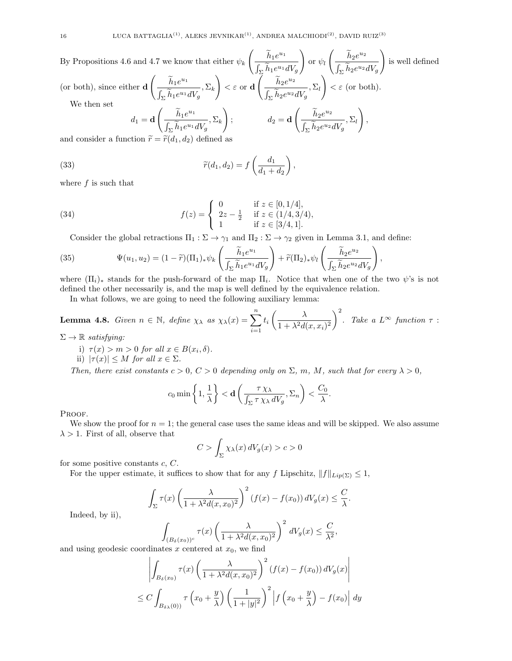By Propositions 4.6 and 4.7 we know that either 
$$
\psi_k\left(\frac{\tilde{h}_1e^{u_1}}{\int_{\Sigma}\tilde{h}_1e^{u_1}dV_g}\right)
$$
 or  $\psi_l\left(\frac{\tilde{h}_2e^{u_2}}{\int_{\Sigma}\tilde{h}_2e^{u_2}dV_g}\right)$  is well defined  
\n(or both), since either  $\mathbf{d}\left(\frac{\tilde{h}_1e^{u_1}}{\int_{\Sigma}\tilde{h}_1e^{u_1}dV_g}, \Sigma_k\right) < \varepsilon$  or  $\mathbf{d}\left(\frac{\tilde{h}_2e^{u_2}}{\int_{\Sigma}\tilde{h}_2e^{u_2}dV_g}, \Sigma_l\right) < \varepsilon$  (or both).  
\nWe then set  
\n $d_1 = \mathbf{d}\left(\frac{\tilde{h}_1e^{u_1}}{\int_{\Sigma}\tilde{h}_1e^{u_1}dV_g}, \Sigma_k\right);$   
\n $d_2 = \mathbf{d}\left(\frac{\tilde{h}_2e^{u_2}}{\int_{\Sigma}\tilde{h}_2e^{u_2}dV_g}, \Sigma_l\right),$   
\nand consider a function  $\tilde{r} = \tilde{r}(d_1, d_2)$  defined as

and consider a function  $\widetilde{r} = \widetilde{r}(d_1, d_2)$  defined as

(33) 
$$
\widetilde{r}(d_1, d_2) = f\left(\frac{d_1}{d_1 + d_2}\right),
$$

where  $f$  is such that

(34) 
$$
f(z) = \begin{cases} 0 & \text{if } z \in [0, 1/4], \\ 2z - \frac{1}{2} & \text{if } z \in (1/4, 3/4), \\ 1 & \text{if } z \in [3/4, 1]. \end{cases}
$$

Consider the global retractions  $\Pi_1 : \Sigma \to \gamma_1$  and  $\Pi_2 : \Sigma \to \gamma_2$  given in Lemma 3.1, and define:

(35) 
$$
\Psi(u_1, u_2) = (1 - \widetilde{r})(\Pi_1)_* \psi_k \left(\frac{\widetilde{h}_1 e^{u_1}}{\int_{\Sigma} \widetilde{h}_1 e^{u_1} dV_g}\right) + \widetilde{r}(\Pi_2)_* \psi_l \left(\frac{\widetilde{h}_2 e^{u_2}}{\int_{\Sigma} \widetilde{h}_2 e^{u_2} dV_g}\right),
$$

where  $(\Pi_i)_*$  stands for the push-forward of the map  $\Pi_i$ . Notice that when one of the two  $\psi$ 's is not defined the other necessarily is, and the map is well defined by the equivalence relation.

In what follows, we are going to need the following auxiliary lemma:

**Lemma 4.8.** Given 
$$
n \in \mathbb{N}
$$
, define  $\chi_{\lambda}$  as  $\chi_{\lambda}(x) = \sum_{i=1}^{n} t_i \left( \frac{\lambda}{1 + \lambda^2 d(x, x_i)^2} \right)^2$ . Take a  $L^{\infty}$  function  $\tau$ :

 $\Sigma \to \mathbb{R}$  satisfying:

- i)  $\tau(x) > m > 0$  for all  $x \in B(x_i, \delta)$ .
- ii)  $|\tau(x)| \leq M$  for all  $x \in \Sigma$ .

Then, there exist constants  $c > 0$ ,  $C > 0$  depending only on  $\Sigma$ , m, M, such that for every  $\lambda > 0$ ,

$$
c_0 \min\left\{1, \frac{1}{\lambda}\right\} < \mathbf{d}\left(\frac{\tau \chi_{\lambda}}{\int_{\Sigma} \tau \chi_{\lambda} dV_g}, \Sigma_n\right) < \frac{C_0}{\lambda}.
$$

PROOF.

We show the proof for  $n = 1$ ; the general case uses the same ideas and will be skipped. We also assume  $\lambda > 1$ . First of all, observe that

$$
C > \int_{\Sigma} \chi_{\lambda}(x) dV_g(x) > c > 0
$$

for some positive constants  $c, C$ .

For the upper estimate, it suffices to show that for any f Lipschitz,  $||f||_{Lip(\Sigma)} \leq 1$ ,

$$
\int_{\Sigma} \tau(x) \left( \frac{\lambda}{1 + \lambda^2 d(x, x_0)^2} \right)^2 (f(x) - f(x_0)) dV_g(x) \leq \frac{C}{\lambda}.
$$

Indeed, by ii),

$$
\int_{(B_{\delta}(x_0))^c} \tau(x) \left(\frac{\lambda}{1 + \lambda^2 d(x, x_0)^2}\right)^2 dV_g(x) \le \frac{C}{\lambda^2},
$$

and using geodesic coordinates  $x$  centered at  $x_0$ , we find

$$
\left| \int_{B_{\delta}(x_0)} \tau(x) \left( \frac{\lambda}{1 + \lambda^2 d(x, x_0)^2} \right)^2 (f(x) - f(x_0)) dV_g(x) \right|
$$
  
 
$$
\leq C \int_{B_{\delta \lambda}(0)} \tau\left( x_0 + \frac{y}{\lambda} \right) \left( \frac{1}{1 + |y|^2} \right)^2 \left| f\left( x_0 + \frac{y}{\lambda} \right) - f(x_0) \right| dy
$$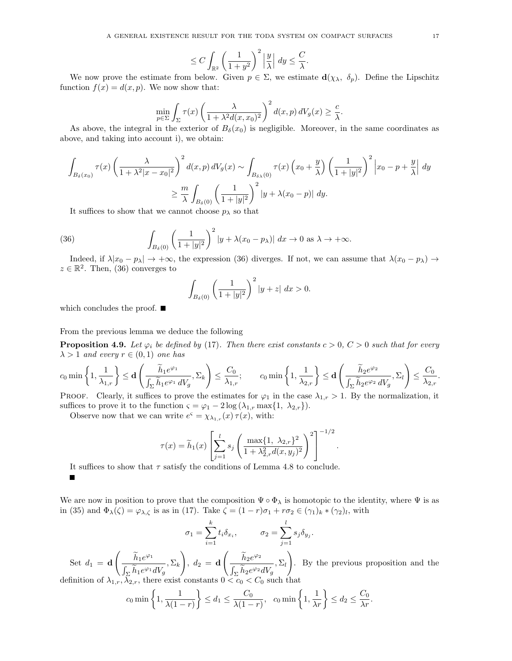$$
\leq C \int_{\mathbb{R}^2} \left( \frac{1}{1+y^2} \right)^2 \left| \frac{y}{\lambda} \right| \, dy \leq \frac{C}{\lambda}
$$

.

We now prove the estimate from below. Given  $p \in \Sigma$ , we estimate  $d(\chi_{\lambda}, \delta_p)$ . Define the Lipschitz function  $f(x) = d(x, p)$ . We now show that:

$$
\min_{p \in \Sigma} \int_{\Sigma} \tau(x) \left( \frac{\lambda}{1 + \lambda^2 d(x, x_0)^2} \right)^2 d(x, p) dV_g(x) \ge \frac{c}{\lambda}.
$$

As above, the integral in the exterior of  $B_\delta(x_0)$  is negligible. Moreover, in the same coordinates as above, and taking into account i), we obtain:

$$
\int_{B_{\delta}(x_0)} \tau(x) \left(\frac{\lambda}{1+\lambda^2|x-x_0|^2}\right)^2 d(x,p) dV_g(x) \sim \int_{B_{\delta\lambda}(0)} \tau(x) \left(x_0 + \frac{y}{\lambda}\right) \left(\frac{1}{1+|y|^2}\right)^2 \left|x_0 - p + \frac{y}{\lambda}\right| dy
$$
  

$$
\geq \frac{m}{\lambda} \int_{B_{\delta}(0)} \left(\frac{1}{1+|y|^2}\right)^2 |y + \lambda(x_0 - p)| dy.
$$

It suffices to show that we cannot choose  $p_{\lambda}$  so that

(36) 
$$
\int_{B_{\delta}(0)} \left(\frac{1}{1+|y|^2}\right)^2 |y+\lambda(x_0-p_{\lambda})| dx \to 0 \text{ as } \lambda \to +\infty.
$$

Indeed, if  $\lambda |x_0 - p_\lambda| \to +\infty$ , the expression (36) diverges. If not, we can assume that  $\lambda (x_0 - p_\lambda) \to$  $z \in \mathbb{R}^2$ . Then, (36) converges to

$$
\int_{B_{\delta}(0)} \left(\frac{1}{1+|y|^2}\right)^2 |y+z| \, dx > 0.
$$

which concludes the proof.  $\blacksquare$ 

Е

From the previous lemma we deduce the following

**Proposition 4.9.** Let  $\varphi_i$  be defined by (17). Then there exist constants  $c > 0$ ,  $C > 0$  such that for every  $\lambda > 1$  and every  $r \in (0,1)$  one has

$$
c_0 \min\left\{1,\frac{1}{\lambda_{1,r}}\right\} \leq \mathbf{d} \left(\frac{\widetilde{h}_1 e^{\varphi_1}}{\int_{\Sigma} \widetilde{h}_1 e^{\varphi_1} dV_g}, \Sigma_k\right) \leq \frac{C_0}{\lambda_{1,r}}; \qquad c_0 \min\left\{1,\frac{1}{\lambda_{2,r}}\right\} \leq \mathbf{d} \left(\frac{\widetilde{h}_2 e^{\varphi_2}}{\int_{\Sigma} \widetilde{h}_2 e^{\varphi_2} dV_g}, \Sigma_l\right) \leq \frac{C_0}{\lambda_{2,r}}.
$$

PROOF. Clearly, it suffices to prove the estimates for  $\varphi_1$  in the case  $\lambda_{1,r} > 1$ . By the normalization, it suffices to prove it to the function  $\varsigma = \varphi_1 - 2 \log(\lambda_{1,r} \max\{1, \lambda_{2,r}\}).$ 

Observe now that we can write  $e^{\varsigma} = \chi_{\lambda_{1,r}}(x) \tau(x)$ , with:

$$
\tau(x) = \widetilde{h}_1(x) \left[ \sum_{j=1}^l s_j \left( \frac{\max\{1, \lambda_{2,r}\}^2}{1 + \lambda_{2,r}^2 d(x, y_j)^2} \right)^2 \right]^{-1/2}.
$$

It suffices to show that  $\tau$  satisfy the conditions of Lemma 4.8 to conclude.

We are now in position to prove that the composition  $\Psi \circ \Phi_{\lambda}$  is homotopic to the identity, where  $\Psi$  is as in (35) and  $\Phi_{\lambda}(\zeta) = \varphi_{\lambda,\zeta}$  is as in (17). Take  $\zeta = (1-r)\sigma_1 + r\sigma_2 \in (\gamma_1)_k * (\gamma_2)_l$ , with

$$
\sigma_1 = \sum_{i=1}^k t_i \delta_{x_i}, \qquad \sigma_2 = \sum_{j=1}^l s_j \delta_{y_j}.
$$

Set  $d_1 = \mathbf{d}$  $\left(\frac{\widetilde{h}_1e^{\varphi_1}}{\widetilde{h}_1} \right)$  $\int_{\Sigma} h_1 e^{\varphi_1} dV_g$  $, \Sigma_k$  $\setminus$ ,  $d_2 = \mathbf{d}$  $\left(\frac{\widetilde{h}_2 e^{\varphi_2}}{2}\right)$  $\int_{\Sigma} h_2 e^{\varphi_2} dV_g$  $\Sigma_l$  $\setminus$ . By the previous proposition and the definition of  $\lambda_{1,r}, \lambda_{2,r}$ , there exist constants  $0 < c_0 < C_0$  such that

$$
c_0 \min\left\{1, \frac{1}{\lambda(1-r)}\right\} \le d_1 \le \frac{C_0}{\lambda(1-r)}, \quad c_0 \min\left\{1, \frac{1}{\lambda r}\right\} \le d_2 \le \frac{C_0}{\lambda r}.
$$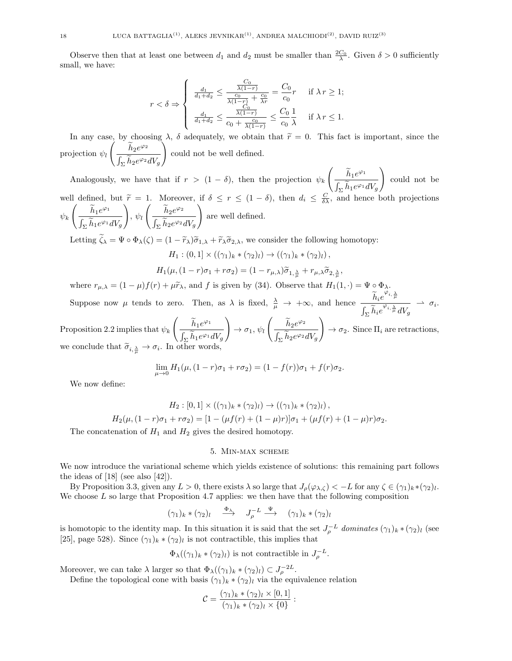Observe then that at least one between  $d_1$  and  $d_2$  must be smaller than  $\frac{2C_0}{\lambda}$ . Given  $\delta > 0$  sufficiently small, we have:

$$
r < \delta \Rightarrow \begin{cases} \frac{d_1}{d_1 + d_2} \le \frac{\frac{C_0}{\lambda(1 - r)}}{\frac{c_0}{\lambda(1 - r)} + \frac{c_0}{\lambda r}} = \frac{C_0}{c_0}r & \text{if } \lambda r \ge 1; \\ \frac{d_1}{d_1 + d_2} \le \frac{\frac{C_0}{\lambda(1 - r)}}{c_0 + \frac{c_0}{\lambda(1 - r)}} \le \frac{C_0}{c_0} \frac{1}{\lambda} & \text{if } \lambda r \le 1. \end{cases}
$$

In any case, by choosing  $\lambda$ ,  $\delta$  adequately, we obtain that  $\tilde{r} = 0$ . This fact is important, since the projection  $\psi_l$  $\left(\frac{\widetilde{h}_2 e^{\varphi_2}}{\widetilde{h}_2}\right)$  $\int_{\Sigma} h_2 e^{\varphi_2} dV_g$  $\setminus$ could not be well defined.

Analogously, we have that if  $r > (1 - \delta)$ , then the projection  $\psi_k$  $\left(\frac{\widetilde{h}_1e^{\varphi_1}}{\widetilde{h}_1} \right)$  $\int_{\Sigma} h_1 e^{\varphi_1} dV_g$ well defined, but  $\widetilde{r} = 1$ . Moreover, if  $\delta \leq r \leq (1 - \delta)$ , then  $d_i \leq \frac{C}{\delta \lambda}$ , and hence both projections  $\setminus$ could not be  $\psi_k$  $\left(\frac{\widetilde{h}_1e^{\varphi_1}}{\widetilde{h}_1} \right)$  $\int_{\Sigma} h_1 e^{\varphi_1} dV_g$  $\setminus$ ,  $\psi_l$  $\left(\frac{\widetilde{h}_2e^{\varphi_2}}{2}\right)$  $\int_{\Sigma} h_2 e^{\varphi_2} dV_g$  $\setminus$ are well defined. Letting  $\widetilde{\zeta}_\lambda = \Psi \circ \Phi_\lambda(\zeta) = (1 - \widetilde{r}_\lambda)\widetilde{\sigma}_{1,\lambda} + \widetilde{r}_\lambda \widetilde{\sigma}_{2,\lambda}$ , we consider the following homotopy:

$$
H_1: (0,1] \times ((\gamma_1)_k * (\gamma_2)_l) \to ((\gamma_1)_k * (\gamma_2)_l),
$$

$$
H_1(\mu, (1-r)\sigma_1 + r\sigma_2) = (1 - r_{\mu,\lambda})\widetilde{\sigma}_{1,\frac{\lambda}{\mu}} + r_{\mu,\lambda}\widetilde{\sigma}_{2,\frac{\lambda}{\mu}},
$$

where  $r_{\mu,\lambda} = (1 - \mu)f(r) + \mu\tilde{r}_{\lambda}$ , and f is given by (34). Observe that  $H_1(1, \cdot) = \Psi \circ \Phi_{\lambda}$ .

Suppose now  $\mu$  tends to zero. Then, as  $\lambda$  is fixed,  $\frac{\lambda}{\mu} \to +\infty$ , and hence  $\frac{\widetilde{h}_i e^{\varphi_{i,\frac{\lambda}{\mu}}}}{\int_{-\infty}^{\infty} \widetilde{f}_i e^{\varphi_{i,\frac{\lambda}{\mu}}}}$  $\int_{\Sigma} \widetilde{h}_i e^{\varphi_{i,\frac{\lambda}{\mu}}} dV_g$  $\rightarrow \sigma_i$ .

Proposition 2.2 implies that  $\psi_k$  $\left(\frac{\widetilde{h}_1e^{\varphi_1}}{\widetilde{h}_1} \right)$  $\int_{\Sigma} h_1 e^{\varphi_1} dV_g$  $\setminus$  $\rightarrow \sigma_1, \psi_l$  $\left(\frac{\widetilde{h}_2 e^{\varphi_2}}{\widetilde{h}_2}\right)$  $\int_{\Sigma} h_2 e^{\varphi_2} dV_g$  $\setminus$  $\rightarrow \sigma_2$ . Since  $\Pi_i$  are retractions, we conclude that  $\widetilde{\sigma}_{i, \frac{\lambda}{\mu}} \to \sigma_i$ . In other words,

$$
\lim_{\mu \to 0} H_1(\mu, (1-r)\sigma_1 + r\sigma_2) = (1 - f(r))\sigma_1 + f(r)\sigma_2.
$$

We now define:

$$
H_2: [0,1] \times ((\gamma_1)_k * (\gamma_2)_l) \to ((\gamma_1)_k * (\gamma_2)_l),
$$
  

$$
H_2(\mu, (1-r)\sigma_1 + r\sigma_2) = [1 - (\mu f(r) + (1-\mu)r)]\sigma_1 + (\mu f(r) + (1-\mu)r)\sigma_2.
$$

The concatenation of  $H_1$  and  $H_2$  gives the desired homotopy.

#### 5. Min-max scheme

We now introduce the variational scheme which yields existence of solutions: this remaining part follows the ideas of  $[18]$  (see also  $[42]$ ).

By Proposition 3.3, given any  $L > 0$ , there exists  $\lambda$  so large that  $J_{\rho}(\varphi_{\lambda,\zeta}) < -L$  for any  $\zeta \in (\gamma_1)_k * (\gamma_2)_l$ . We choose  $L$  so large that Proposition 4.7 applies: we then have that the following composition

$$
(\gamma_1)_k * (\gamma_2)_l \quad \stackrel{\Phi_\lambda}{\longrightarrow} \quad J_\rho^{-L} \stackrel{\Psi}{\longrightarrow} \quad (\gamma_1)_k * (\gamma_2)_l
$$

is homotopic to the identity map. In this situation it is said that the set  $J_{\rho}^{-L}$  dominates  $(\gamma_1)_k \cdot (\gamma_2)_l$  (see [25], page 528). Since  $(\gamma_1)_k \cdot (\gamma_2)_l$  is not contractible, this implies that

$$
\Phi_{\lambda}((\gamma_1)_k * (\gamma_2)_l)
$$
 is not contractible in  $J_{\rho}^{-L}$ .

Moreover, we can take  $\lambda$  larger so that  $\Phi_{\lambda}((\gamma_1)_k \ast (\gamma_2)_l) \subset J_{\rho}^{-2L}$ .

Define the topological cone with basis  $(\gamma_1)_k * (\gamma_2)_l$  via the equivalence relation

$$
C = \frac{(\gamma_1)_k * (\gamma_2)_l \times [0,1]}{(\gamma_1)_k * (\gamma_2)_l \times \{0\}}:
$$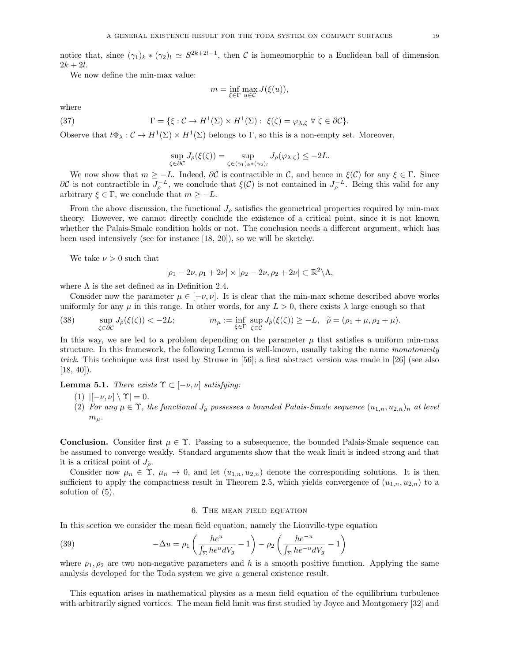notice that, since  $(\gamma_1)_k \ast (\gamma_2)_l \simeq S^{2k+2l-1}$ , then C is homeomorphic to a Euclidean ball of dimension  $2k + 2l$ .

We now define the min-max value:

$$
m = \inf_{\xi \in \Gamma} \max_{u \in \mathcal{C}} J(\xi(u)),
$$

where

(37) 
$$
\Gamma = \{ \xi : C \to H^1(\Sigma) \times H^1(\Sigma) : \xi(\zeta) = \varphi_{\lambda, \zeta} \ \forall \ \zeta \in \partial C \}.
$$

Observe that  $t\Phi_{\lambda}: \mathcal{C} \to H^1(\Sigma) \times H^1(\Sigma)$  belongs to  $\Gamma$ , so this is a non-empty set. Moreover,

$$
\sup_{\zeta \in \partial \mathcal{C}} J_{\rho}(\xi(\zeta)) = \sup_{\zeta \in (\gamma_1)_k * (\gamma_2)_l} J_{\rho}(\varphi_{\lambda,\zeta}) \leq -2L.
$$

We now show that  $m \geq -L$ . Indeed,  $\partial C$  is contractible in C, and hence in  $\xi(C)$  for any  $\xi \in \Gamma$ . Since  $\partial\mathcal{C}$  is not contractible in  $J_{\rho}^{-L}$ , we conclude that  $\xi(\mathcal{C})$  is not contained in  $J_{\rho}^{-L}$ . Being this valid for any arbitrary  $\xi \in \Gamma$ , we conclude that  $m \geq -L$ .

From the above discussion, the functional  $J<sub>o</sub>$  satisfies the geometrical properties required by min-max theory. However, we cannot directly conclude the existence of a critical point, since it is not known whether the Palais-Smale condition holds or not. The conclusion needs a different argument, which has been used intensively (see for instance [18, 20]), so we will be sketchy.

We take  $\nu > 0$  such that

$$
[\rho_1 - 2\nu, \rho_1 + 2\nu] \times [\rho_2 - 2\nu, \rho_2 + 2\nu] \subset \mathbb{R}^2 \backslash \Lambda,
$$

where  $\Lambda$  is the set defined as in Definition 2.4.

Consider now the parameter  $\mu \in [-\nu, \nu]$ . It is clear that the min-max scheme described above works uniformly for any  $\mu$  in this range. In other words, for any  $L > 0$ , there exists  $\lambda$  large enough so that

(38) 
$$
\sup_{\zeta \in \partial C} J_{\tilde{\rho}}(\xi(\zeta)) < -2L; \qquad m_{\mu} := \inf_{\xi \in \Gamma} \sup_{\zeta \in C} J_{\tilde{\rho}}(\xi(\zeta)) \ge -L, \quad \tilde{\rho} = (\rho_1 + \mu, \rho_2 + \mu).
$$

In this way, we are led to a problem depending on the parameter  $\mu$  that satisfies a uniform min-max structure. In this framework, the following Lemma is well-known, usually taking the name monotonicity trick. This technique was first used by Struwe in [56]; a first abstract version was made in [26] (see also  $[18, 40]$ .

**Lemma 5.1.** There exists  $\Upsilon$  ⊂  $[-\nu, \nu]$  satisfying:

(1)  $\vert [-\nu, \nu] \setminus \Upsilon \vert = 0.$ 

(2) For any  $\mu \in \Upsilon$ , the functional  $J_{\tilde{\rho}}$  possesses a bounded Palais-Smale sequence  $(u_{1,n}, u_{2,n})_n$  at level  $m_\mu$ .

**Conclusion.** Consider first  $\mu \in \Upsilon$ . Passing to a subsequence, the bounded Palais-Smale sequence can be assumed to converge weakly. Standard arguments show that the weak limit is indeed strong and that it is a critical point of  $J_{\tilde{\rho}}$ .

Consider now  $\mu_n \in \Upsilon$ ,  $\mu_n \to 0$ , and let  $(u_{1,n}, u_{2,n})$  denote the corresponding solutions. It is then sufficient to apply the compactness result in Theorem 2.5, which yields convergence of  $(u_{1,n}, u_{2,n})$  to a solution of (5).

## 6. The mean field equation

In this section we consider the mean field equation, namely the Liouville-type equation

(39) 
$$
-\Delta u = \rho_1 \left( \frac{he^u}{\int_{\Sigma} he^u dV_g} - 1 \right) - \rho_2 \left( \frac{he^{-u}}{\int_{\Sigma} he^{-u} dV_g} - 1 \right)
$$

where  $\rho_1, \rho_2$  are two non-negative parameters and h is a smooth positive function. Applying the same analysis developed for the Toda system we give a general existence result.

This equation arises in mathematical physics as a mean field equation of the equilibrium turbulence with arbitrarily signed vortices. The mean field limit was first studied by Joyce and Montgomery [32] and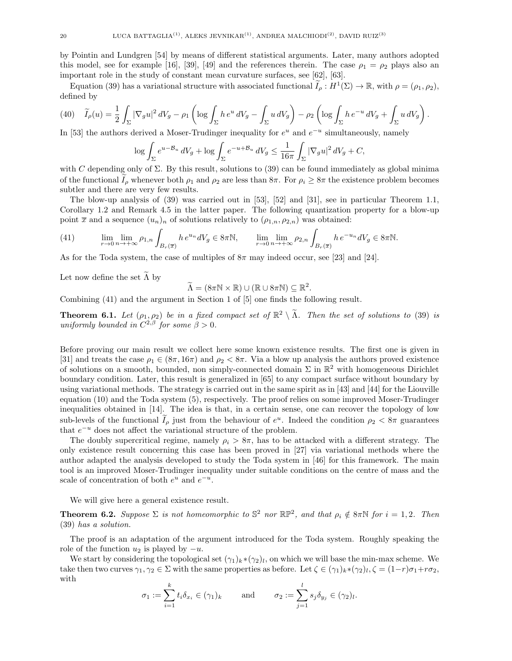by Pointin and Lundgren [54] by means of different statistical arguments. Later, many authors adopted this model, see for example [16], [39], [49] and the references therein. The case  $\rho_1 = \rho_2$  plays also an important role in the study of constant mean curvature surfaces, see [62], [63].

Equation (39) has a variational structure with associated functional  $\widetilde{I}_{\rho}: H^1(\Sigma) \to \mathbb{R}$ , with  $\rho = (\rho_1, \rho_2)$ , defined by

$$
(40)\quad \widetilde{I}_{\rho}(u) = \frac{1}{2} \int_{\Sigma} |\nabla_g u|^2 \, dV_g - \rho_1 \left( \log \int_{\Sigma} h \, e^u \, dV_g - \int_{\Sigma} u \, dV_g \right) - \rho_2 \left( \log \int_{\Sigma} h \, e^{-u} \, dV_g + \int_{\Sigma} u \, dV_g \right).
$$

In [53] the authors derived a Moser-Trudinger inequality for  $e^u$  and  $e^{-u}$  simultaneously, namely

$$
\log \int_{\Sigma} e^{u - \mathcal{B}_u} dV_g + \log \int_{\Sigma} e^{-u + \mathcal{B}_u} dV_g \le \frac{1}{16\pi} \int_{\Sigma} |\nabla_g u|^2 dV_g + C,
$$

with C depending only of  $\Sigma$ . By this result, solutions to (39) can be found immediately as global minima of the functional  $I_{\rho}$  whenever both  $\rho_1$  and  $\rho_2$  are less than  $8\pi$ . For  $\rho_i \geq 8\pi$  the existence problem becomes subtler and there are very few results.

The blow-up analysis of (39) was carried out in [53], [52] and [31], see in particular Theorem 1.1, Corollary 1.2 and Remark 4.5 in the latter paper. The following quantization property for a blow-up point  $\bar{x}$  and a sequence  $(u_n)_n$  of solutions relatively to  $(\rho_{1,n}, \rho_{2,n})$  was obtained:

(41) 
$$
\lim_{r \to 0} \lim_{n \to +\infty} \rho_{1,n} \int_{B_r(\overline{x})} h e^{u_n} dV_g \in 8\pi \mathbb{N}, \qquad \lim_{r \to 0} \lim_{n \to +\infty} \rho_{2,n} \int_{B_r(\overline{x})} h e^{-u_n} dV_g \in 8\pi \mathbb{N}.
$$

As for the Toda system, the case of multiples of  $8\pi$  may indeed occur, see [23] and [24].

Let now define the set  $\tilde{\Lambda}$  by

$$
\widetilde{\Lambda} = (8\pi \mathbb{N} \times \mathbb{R}) \cup (\mathbb{R} \cup 8\pi \mathbb{N}) \subseteq \mathbb{R}^2.
$$

Combining (41) and the argument in Section 1 of [5] one finds the following result.

**Theorem 6.1.** Let  $(\rho_1, \rho_2)$  be in a fixed compact set of  $\mathbb{R}^2 \setminus \tilde{\Lambda}$ . Then the set of solutions to (39) is uniformly bounded in  $C^{2,\beta}$  for some  $\beta > 0$ .

Before proving our main result we collect here some known existence results. The first one is given in [31] and treats the case  $\rho_1 \in (8\pi, 16\pi)$  and  $\rho_2 < 8\pi$ . Via a blow up analysis the authors proved existence of solutions on a smooth, bounded, non simply-connected domain  $\Sigma$  in  $\mathbb{R}^2$  with homogeneous Dirichlet boundary condition. Later, this result is generalized in [65] to any compact surface without boundary by using variational methods. The strategy is carried out in the same spirit as in [43] and [44] for the Liouville equation (10) and the Toda system (5), respectively. The proof relies on some improved Moser-Trudinger inequalities obtained in [14]. The idea is that, in a certain sense, one can recover the topology of low sub-levels of the functional  $I_{\rho}$  just from the behaviour of  $e^u$ . Indeed the condition  $\rho_2 < 8\pi$  guarantees that  $e^{-u}$  does not affect the variational structure of the problem.

The doubly supercritical regime, namely  $\rho_i > 8\pi$ , has to be attacked with a different strategy. The only existence result concerning this case has been proved in [27] via variational methods where the author adapted the analysis developed to study the Toda system in [46] for this framework. The main tool is an improved Moser-Trudinger inequality under suitable conditions on the centre of mass and the scale of concentration of both  $e^u$  and  $e^{-u}$ .

We will give here a general existence result.

**Theorem 6.2.** Suppose  $\Sigma$  is not homeomorphic to  $\mathbb{S}^2$  nor  $\mathbb{RP}^2$ , and that  $\rho_i \notin 8\pi\mathbb{N}$  for  $i = 1, 2$ . Then (39) has a solution.

The proof is an adaptation of the argument introduced for the Toda system. Roughly speaking the role of the function  $u_2$  is played by  $-u$ .

We start by considering the topological set  $(\gamma_1)_k * (\gamma_2)_l$ , on which we will base the min-max scheme. We take then two curves  $\gamma_1, \gamma_2 \in \Sigma$  with the same properties as before. Let  $\zeta \in (\gamma_1)_k * (\gamma_2)_l$ ,  $\zeta = (1-r)\sigma_1 + r\sigma_2$ , with

$$
\sigma_1 := \sum_{i=1}^k t_i \delta_{x_i} \in (\gamma_1)_k \quad \text{and} \quad \sigma_2 := \sum_{j=1}^l s_j \delta_{y_j} \in (\gamma_2)_l.
$$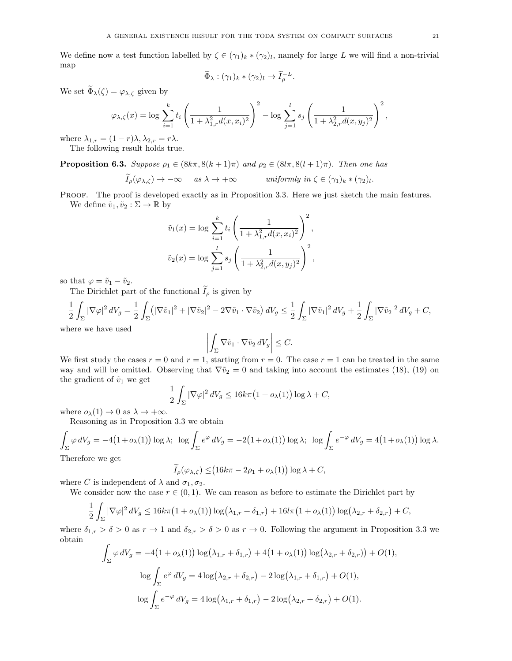We define now a test function labelled by  $\zeta \in (\gamma_1)_k * (\gamma_2)_l$ , namely for large L we will find a non-trivial map

$$
\widetilde{\Phi}_{\lambda} : (\gamma_1)_k * (\gamma_2)_l \to \widetilde{I}_{\rho}^{-L}.
$$

We set  $\widetilde{\Phi}_{\lambda}(\zeta) = \varphi_{\lambda,\zeta}$  given by

$$
\varphi_{\lambda,\zeta}(x) = \log \sum_{i=1}^k t_i \left( \frac{1}{1 + \lambda_{1,r}^2 d(x, x_i)^2} \right)^2 - \log \sum_{j=1}^l s_j \left( \frac{1}{1 + \lambda_{2,r}^2 d(x, y_j)^2} \right)^2,
$$

where  $\lambda_{1,r} = (1 - r)\lambda, \lambda_{2,r} = r\lambda$ . The following result holds true.

**Proposition 6.3.** Suppose  $\rho_1 \in (8k\pi, 8(k+1)\pi)$  and  $\rho_2 \in (8l\pi, 8(l+1)\pi)$ . Then one has

$$
\widetilde{I}_{\rho}(\varphi_{\lambda,\zeta}) \to -\infty \quad \text{as } \lambda \to +\infty \quad \text{uniformly in } \zeta \in (\gamma_1)_k \ast (\gamma_2)_l.
$$

PROOF. The proof is developed exactly as in Proposition 3.3. Here we just sketch the main features. We define  $\tilde{v}_1, \tilde{v}_2 : \Sigma \to \mathbb{R}$  by

$$
\tilde{v}_1(x) = \log \sum_{i=1}^k t_i \left( \frac{1}{1 + \lambda_{1,r}^2 d(x, x_i)^2} \right)^2,
$$
  

$$
\tilde{v}_2(x) = \log \sum_{j=1}^l s_j \left( \frac{1}{1 + \lambda_{2,r}^2 d(x, y_j)^2} \right)^2,
$$

so that  $\varphi = \tilde{v}_1 - \tilde{v}_2$ .

The Dirichlet part of the functional  $I_{\rho}$  is given by

$$
\frac{1}{2}\int_{\Sigma}|\nabla \varphi|^2\,dV_g=\frac{1}{2}\int_{\Sigma}(|\nabla \tilde{v}_1|^2+|\nabla \tilde{v}_2|^2-2\nabla \tilde{v}_1\cdot \nabla \tilde{v}_2\,)\,dV_g\leq \frac{1}{2}\int_{\Sigma}|\nabla \tilde{v}_1|^2\,dV_g+\frac{1}{2}\int_{\Sigma}|\nabla \tilde{v}_2|^2\,dV_g+C,
$$
 here we have used

 $\mathbf{w}$ 

$$
\left| \int_{\Sigma} \nabla \tilde{v}_1 \cdot \nabla \tilde{v}_2 \, dV_g \right| \leq C.
$$

We first study the cases  $r = 0$  and  $r = 1$ , starting from  $r = 0$ . The case  $r = 1$  can be treated in the same way and will be omitted. Observing that  $\nabla \tilde{v}_2 = 0$  and taking into account the estimates (18), (19) on the gradient of  $\tilde{v}_1$  we get

$$
\frac{1}{2}\int_{\Sigma} |\nabla \varphi|^2 dV_g \le 16k\pi \big(1 + o_{\lambda}(1)\big) \log \lambda + C,
$$

where  $o_{\lambda}(1) \rightarrow 0$  as  $\lambda \rightarrow +\infty$ .

Reasoning as in Proposition 3.3 we obtain

$$
\int_{\Sigma} \varphi \, dV_g = -4(1 + o_{\lambda}(1)) \log \lambda; \quad \log \int_{\Sigma} e^{\varphi} \, dV_g = -2(1 + o_{\lambda}(1)) \log \lambda; \quad \log \int_{\Sigma} e^{-\varphi} \, dV_g = 4(1 + o_{\lambda}(1)) \log \lambda.
$$
\nTherefore, we get

Therefore we get

$$
\widetilde{I}_{\rho}(\varphi_{\lambda,\zeta}) \leq (16k\pi - 2\rho_1 + o_{\lambda}(1))\log \lambda + C,
$$

where C is independent of  $\lambda$  and  $\sigma_1, \sigma_2$ .

We consider now the case  $r \in (0, 1)$ . We can reason as before to estimate the Dirichlet part by

$$
\frac{1}{2}\int_{\Sigma}|\nabla\varphi|^2\,dV_g\leq 16k\pi\big(1+o_{\lambda}(1)\big)\log\big(\lambda_{1,r}+\delta_{1,r}\big)+16l\pi\big(1+o_{\lambda}(1)\big)\log\big(\lambda_{2,r}+\delta_{2,r}\big)+C,
$$

where  $\delta_{1,r} > \delta > 0$  as  $r \to 1$  and  $\delta_{2,r} > \delta > 0$  as  $r \to 0$ . Following the argument in Proposition 3.3 we obtain

$$
\int_{\Sigma} \varphi \, dV_g = -4(1 + o_{\lambda}(1)) \log(\lambda_{1,r} + \delta_{1,r}) + 4(1 + o_{\lambda}(1)) \log(\lambda_{2,r} + \delta_{2,r})) + O(1),
$$

$$
\log \int_{\Sigma} e^{\varphi} \, dV_g = 4 \log(\lambda_{2,r} + \delta_{2,r}) - 2 \log(\lambda_{1,r} + \delta_{1,r}) + O(1),
$$

$$
\log \int_{\Sigma} e^{-\varphi} \, dV_g = 4 \log(\lambda_{1,r} + \delta_{1,r}) - 2 \log(\lambda_{2,r} + \delta_{2,r}) + O(1).
$$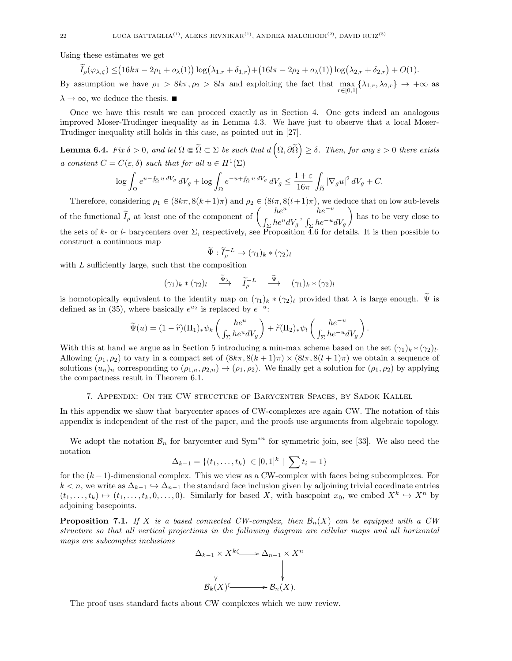Using these estimates we get

$$
\widetilde{I}_{\rho}(\varphi_{\lambda,\zeta}) \leq (16k\pi - 2\rho_1 + o_{\lambda}(1))\log(\lambda_{1,r} + \delta_{1,r}) + (16l\pi - 2\rho_2 + o_{\lambda}(1))\log(\lambda_{2,r} + \delta_{2,r}) + O(1).
$$

By assumption we have  $\rho_1 > 8k\pi, \rho_2 > 8l\pi$  and exploiting the fact that  $\max_{r \in [0,1]} {\lambda_{1,r}, \lambda_{2,r}} \to +\infty$  as  $\lambda \to \infty$ , we deduce the thesis.

Once we have this result we can proceed exactly as in Section 4. One gets indeed an analogous improved Moser-Trudinger inequality as in Lemma 4.3. We have just to observe that a local Moser-Trudinger inequality still holds in this case, as pointed out in [27].

**Lemma 6.4.** Fix  $\delta > 0$ , and let  $\Omega \in \widetilde{\Omega} \subset \Sigma$  be such that  $d\left(\Omega, \partial \widetilde{\Omega}\right) \geq \delta$ . Then, for any  $\varepsilon > 0$  there exists a constant  $C = C(\varepsilon, \delta)$  such that for all  $u \in H^1(\Sigma)$ 

$$
\log \int_{\Omega} e^{u - f_{\Omega} u \, dV_g} \, dV_g + \log \int_{\Omega} e^{-u + f_{\Omega} u \, dV_g} \, dV_g \le \frac{1 + \varepsilon}{16\pi} \int_{\widetilde{\Omega}} |\nabla_g u|^2 \, dV_g + C.
$$

Therefore, considering  $\rho_1 \in (8k\pi, 8(k+1)\pi)$  and  $\rho_2 \in (8l\pi, 8(l+1)\pi)$ , we deduce that on low sub-levels of the functional  $\widetilde{I}_{\rho}$  at least one of the component of  $\left(\frac{he^u}{\int_{\gamma}he^u\right)}\right)$  $\frac{he^u}{\int_{\Sigma} he^u dV_g}, \frac{he^{-u}}{\int_{\Sigma} he^{-u_g}}$  $\int_{\Sigma} he^{-u}dV_g$  has to be very close to the sets of k- or l- barycenters over  $\Sigma$ , respectively, see Proposition 4.6 for details. It is then possible to construct a continuous map

$$
\widetilde{\Psi} : \widetilde{I}_{\rho}^{-L} \to (\gamma_1)_k * (\gamma_2)_l
$$

with  $L$  sufficiently large, such that the composition

$$
(\gamma_1)_k * (\gamma_2)_l \quad \stackrel{\widetilde{\Phi}_\lambda}{\longrightarrow} \quad \widetilde{I}_{\rho}^{-L} \quad \stackrel{\widetilde{\Psi}}{\longrightarrow} \quad (\gamma_1)_k * (\gamma_2)_l
$$

is homotopically equivalent to the identity map on  $(\gamma_1)_k \ast (\gamma_2)_l$  provided that  $\lambda$  is large enough.  $\Psi$  is defined as in (35), where basically  $e^{u_2}$  is replaced by  $e^{-u}$ .

$$
\widetilde{\Psi}(u) = (1 - \widetilde{r})(\Pi_1)_* \psi_k \left( \frac{h e^u}{\int_{\Sigma} h e^u dV_g} \right) + \widetilde{r}(\Pi_2)_* \psi_l \left( \frac{h e^{-u}}{\int_{\Sigma} h e^{-u} dV_g} \right).
$$

With this at hand we argue as in Section 5 introducing a min-max scheme based on the set  $(\gamma_1)_k \cdot (\gamma_2)_l$ . Allowing  $(\rho_1, \rho_2)$  to vary in a compact set of  $(8k\pi, 8(k+1)\pi) \times (8l\pi, 8(l+1)\pi)$  we obtain a sequence of solutions  $(u_n)_n$  corresponding to  $(\rho_{1,n}, \rho_{2,n}) \to (\rho_1, \rho_2)$ . We finally get a solution for  $(\rho_1, \rho_2)$  by applying the compactness result in Theorem 6.1.

## 7. Appendix: On the CW structure of Barycenter Spaces, by Sadok Kallel

In this appendix we show that barycenter spaces of CW-complexes are again CW. The notation of this appendix is independent of the rest of the paper, and the proofs use arguments from algebraic topology.

We adopt the notation  $\mathcal{B}_n$  for barycenter and Sym<sup>∗n</sup> for symmetric join, see [33]. We also need the notation

$$
\Delta_{k-1} = \{(t_1, \ldots, t_k) \in [0,1]^k \mid \sum t_i = 1\}
$$

for the  $(k-1)$ -dimensional complex. This we view as a CW-complex with faces being subcomplexes. For  $k < n$ , we write as  $\Delta_{k-1} \hookrightarrow \Delta_{n-1}$  the standard face inclusion given by adjoining trivial coordinate entries  $(t_1, \ldots, t_k) \mapsto (t_1, \ldots, t_k, 0, \ldots, 0)$ . Similarly for based X, with basepoint  $x_0$ , we embed  $X^k \hookrightarrow X^n$  by adjoining basepoints.

**Proposition 7.1.** If X is a based connected CW-complex, then  $\mathcal{B}_n(X)$  can be equipped with a CW structure so that all vertical projections in the following diagram are cellular maps and all horizontal maps are subcomplex inclusions



The proof uses standard facts about CW complexes which we now review.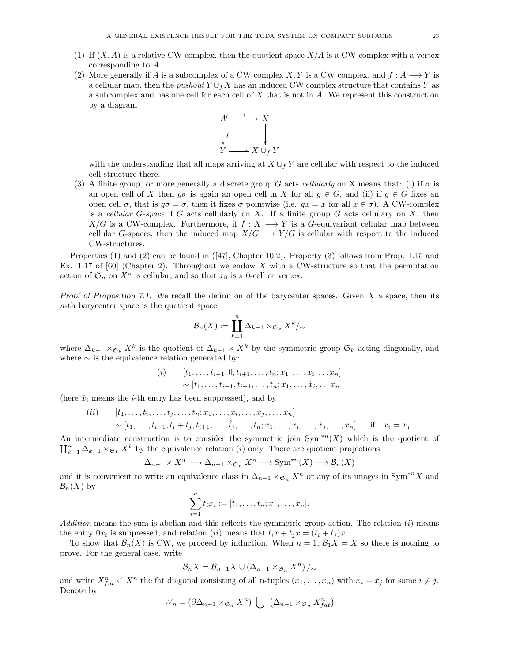- (1) If  $(X, A)$  is a relative CW complex, then the quotient space  $X/A$  is a CW complex with a vertex corresponding to A.
- (2) More generally if A is a subcomplex of a CW complex X, Y is a CW complex, and  $f : A \longrightarrow Y$  is a cellular map, then the *pushout*  $Y \cup_f X$  has an induced CW complex structure that contains Y as a subcomplex and has one cell for each cell of  $X$  that is not in  $A$ . We represent this construction by a diagram



with the understanding that all maps arriving at  $X \cup_f Y$  are cellular with respect to the induced cell structure there.

(3) A finite group, or more generally a discrete group G acts cellularly on X means that: (i) if  $\sigma$  is an open cell of X then  $g\sigma$  is again an open cell in X for all  $g \in G$ , and (ii) if  $g \in G$  fixes an open cell  $\sigma$ , that is  $g\sigma = \sigma$ , then it fixes  $\sigma$  pointwise (i.e.  $gx = x$  for all  $x \in \sigma$ ). A CW-complex is a cellular  $G$ -space if G acts cellularly on X. If a finite group  $G$  acts cellulary on  $X$ , then  $X/G$  is a CW-complex. Furthermore, if  $f : X \longrightarrow Y$  is a G-equivariant cellular map between cellular G-spaces, then the induced map  $X/G \longrightarrow Y/G$  is cellular with respect to the induced CW-structures.

Properties (1) and (2) can be found in ([47], Chapter 10.2). Property (3) follows from Prop. 1.15 and Ex. 1.17 of  $[60]$  (Chapter 2). Throughout we endow X with a CW-structure so that the permutation action of  $\mathfrak{S}_n$  on  $X^n$  is cellular, and so that  $x_0$  is a 0-cell or vertex.

Proof of Proposition 7.1. We recall the definition of the barycenter spaces. Given  $X$  a space, then its n-th barycenter space is the quotient space

$$
\mathcal{B}_n(X) := \coprod_{k=1}^n \Delta_{k-1} \times_{\mathfrak{S}_k} X^k /_{\sim}
$$

where  $\Delta_{k-1} \times_{\mathfrak{S}_k} X^k$  is the quotient of  $\Delta_{k-1} \times X^k$  by the symmetric group  $\mathfrak{S}_k$  acting diagonally, and where  $\sim$  is the equivalence relation generated by:

$$
(i) \qquad [t_1, \ldots, t_{i-1}, 0, t_{i+1}, \ldots, t_n; x_1, \ldots, x_i, \ldots, x_n] \\
 \sim [t_1, \ldots, t_{i-1}, t_{i+1}, \ldots, t_n; x_1, \ldots, \hat{x}_i, \ldots, x_n]
$$

(here  $\hat{x}_i$  means the *i*-th entry has been suppressed), and by

 $(ii)$   $[t_1, \ldots, t_i, \ldots, t_j, \ldots, t_n; x_1, \ldots, x_i, \ldots, x_j, \ldots, x_n]$  $\sim [t_1, \ldots, t_{i-1}, t_i + t_j, t_{i+1}, \ldots, \hat{t}_j, \ldots, t_n; x_1, \ldots, x_i, \ldots, \hat{x}_j, \ldots, x_n]$  if  $x_i = x_j$ .

An intermediate construction is to consider the symmetric join  $Sym^{n}(X)$  which is the quotient of  $\prod_{k=1}^n \Delta_{k-1} \times_{\mathfrak{S}_k} X^k$  by the equivalence relation (i) only. There are quotient projections

$$
\Delta_{n-1} \times X^n \longrightarrow \Delta_{n-1} \times_{\mathfrak{S}_n} X^n \longrightarrow \text{Sym}^{*n}(X) \longrightarrow \mathcal{B}_n(X)
$$

and it is convenient to write an equivalence class in  $\Delta_{n-1} \times_{\mathfrak{S}_n} X^n$  or any of its images in Sym<sup>\*n</sup>X and  $\mathcal{B}_n(X)$  by

$$
\sum_{i=1}^{n} t_i x_i := [t_1, \dots, t_n; x_1, \dots, x_n].
$$

Addition means the sum is abelian and this reflects the symmetric group action. The relation  $(i)$  means the entry  $0x_i$  is suppressed, and relation (ii) means that  $t_ix + t_jx = (t_i + t_j)x$ .

To show that  $\mathcal{B}_n(X)$  is CW, we proceed by induction. When  $n = 1$ ,  $\mathcal{B}_1X = X$  so there is nothing to prove. For the general case, write

$$
\mathcal{B}_n X = \mathcal{B}_{n-1} X \cup (\Delta_{n-1} \times_{\mathfrak{S}_n} X^n)/_{\sim}
$$

and write  $X_{fat}^n \subset X^n$  the fat diagonal consisting of all n-tuples  $(x_1, \ldots, x_n)$  with  $x_i = x_j$  for some  $i \neq j$ . Denote by

$$
W_n = (\partial \Delta_{n-1} \times_{\mathfrak{S}_n} X^n) \bigcup (\Delta_{n-1} \times_{\mathfrak{S}_n} X^n_{fat})
$$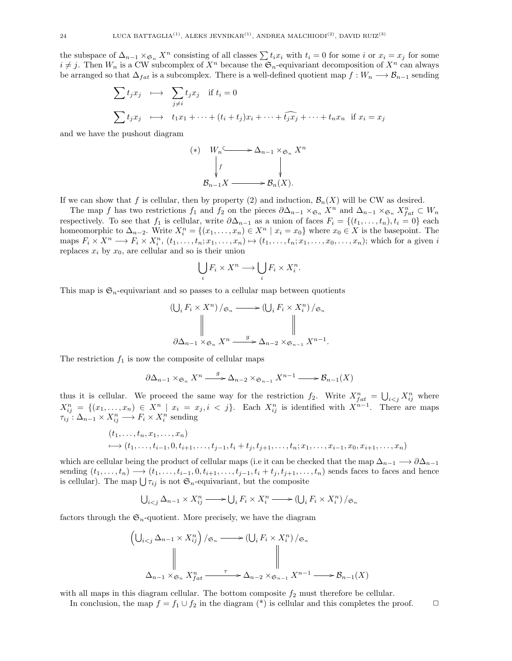the subspace of  $\Delta_{n-1} \times_{\mathfrak{S}_n} X^n$  consisting of all classes  $\sum t_i x_i$  with  $t_i = 0$  for some i or  $x_i = x_j$  for some  $i \neq j$ . Then  $W_n$  is a CW subcomplex of  $X^n$  because the  $\mathfrak{S}_n$ -equivariant decomposition of  $X^n$  can always be arranged so that  $\Delta_{fat}$  is a subcomplex. There is a well-defined quotient map  $f : W_n \longrightarrow \mathcal{B}_{n-1}$  sending

$$
\sum t_j x_j \longmapsto \sum_{j \neq i} t_j x_j \quad \text{if } t_i = 0
$$
\n
$$
\sum t_j x_j \longmapsto t_1 x_1 + \dots + (t_i + t_j) x_i + \dots + \widehat{t_j x_j} + \dots + t_n x_n \quad \text{if } x_i = x_j
$$

and we have the pushout diagram

$$
(*)\quad W_n \longrightarrow \Delta_{n-1} \times_{\mathfrak{S}_n} X^n
$$

$$
\downarrow f \qquad \qquad \downarrow \qquad \qquad \downarrow
$$

$$
\mathcal{B}_{n-1} X \longrightarrow \mathcal{B}_n(X).
$$

If we can show that f is cellular, then by property (2) and induction,  $\mathcal{B}_n(X)$  will be CW as desired.

The map f has two restrictions  $f_1$  and  $f_2$  on the pieces  $\partial \Delta_{n-1} \times_{\mathfrak{S}_n} X^n$  and  $\Delta_{n-1} \times_{\mathfrak{S}_n} X^n_{fat} \subset W_n$ respectively. To see that  $f_1$  is cellular, write  $\partial \Delta_{n-1}$  as a union of faces  $F_i = \{(t_1, \ldots, t_n), t_i = 0\}$  each homeomorphic to  $\Delta_{n-2}$ . Write  $X_i^n = \{(x_1, \ldots, x_n) \in X^n \mid x_i = x_0\}$  where  $x_0 \in X$  is the basepoint. The maps  $F_i \times X^n \longrightarrow F_i \times X_i^n$ ,  $(t_1, \ldots, t_n; x_1, \ldots, x_n) \mapsto (t_1, \ldots, t_n; x_1, \ldots, x_0, \ldots, x_n)$ ; which for a given i replaces  $x_i$  by  $x_0$ , are cellular and so is their union

$$
\bigcup_i F_i \times X^n \longrightarrow \bigcup_i F_i \times X_i^n.
$$

This map is  $\mathfrak{S}_n$ -equivariant and so passes to a cellular map between quotients

$$
\left(\bigcup_{i} F_{i} \times X^{n}\right) / \mathfrak{S}_{n} \longrightarrow \left(\bigcup_{i} F_{i} \times X_{i}^{n}\right) / \mathfrak{S}_{n}
$$
\n
$$
\parallel \qquad \qquad \parallel \qquad \qquad \parallel
$$
\n
$$
\partial \Delta_{n-1} \times \mathfrak{S}_{n} X^{n} \xrightarrow{g} \Delta_{n-2} \times \mathfrak{S}_{n-1} X^{n-1}.
$$

The restriction  $f_1$  is now the composite of cellular maps

$$
\partial \Delta_{n-1} \times_{\mathfrak{S}_n} X^n \xrightarrow{g} \Delta_{n-2} \times_{\mathfrak{S}_{n-1}} X^{n-1} \longrightarrow \mathcal{B}_{n-1}(X)
$$

thus it is cellular. We proceed the same way for the restriction  $f_2$ . Write  $X_{fat}^n = \bigcup_{i < j} X_{ij}^n$  where  $X_{ij}^n = \{(x_1, \ldots, x_n) \in X^n \mid x_i = x_j, i \leq j\}.$  Each  $X_{ij}^n$  is identified with  $X^{n-1}$ . There are maps  $\tau_{ij}: \Delta_{n-1} \times X_{ij}^n \longrightarrow F_i \times X_i^n$  sending

$$
(t_1, \ldots, t_n, x_1, \ldots, x_n)
$$
  

$$
\mapsto (t_1, \ldots, t_{i-1}, 0, t_{i+1}, \ldots, t_{j-1}, t_i + t_j, t_{j+1}, \ldots, t_n; x_1, \ldots, x_{i-1}, x_0, x_{i+1}, \ldots, x_n)
$$

which are cellular being the product of cellular maps (i.e it can be checked that the map  $\Delta_{n-1} \longrightarrow \partial \Delta_{n-1}$ sending  $(t_1, \ldots, t_n) \longrightarrow (t_1, \ldots, t_{i-1}, 0, t_{i+1}, \ldots, t_{j-1}, t_i + t_j, t_{j+1}, \ldots, t_n)$  sends faces to faces and hence is cellular). The map  $\bigcup \tau_{ij}$  is not  $\mathfrak{S}_n$ -equivariant, but the composite

$$
\bigcup\nolimits_{i < j} \Delta_{n-1} \times X_{ij}^n \longrightarrow \bigcup_i F_i \times X_i^n \longrightarrow \left(\bigcup_i F_i \times X_i^n\right) / \mathfrak{S}_n
$$

factors through the  $\mathfrak{S}_n$ -quotient. More precisely, we have the diagram

$$
\left(\bigcup_{i < j} \Delta_{n-1} \times X_{ij}^n \right) / \mathfrak{S}_n \longrightarrow \left(\bigcup_i F_i \times X_i^n \right) / \mathfrak{S}_n
$$
\n
$$
\parallel \qquad \qquad \parallel \qquad \qquad \parallel
$$
\n
$$
\Delta_{n-1} \times \mathfrak{S}_n X_{fat}^n \xrightarrow{\tau} \Delta_{n-2} \times \mathfrak{S}_{n-1} X^{n-1} \longrightarrow \mathcal{B}_{n-1}(X)
$$

with all maps in this diagram cellular. The bottom composite  $f_2$  must therefore be cellular.

In conclusion, the map  $f = f_1 \cup f_2$  in the diagram (\*) is cellular and this completes the proof.  $\Box$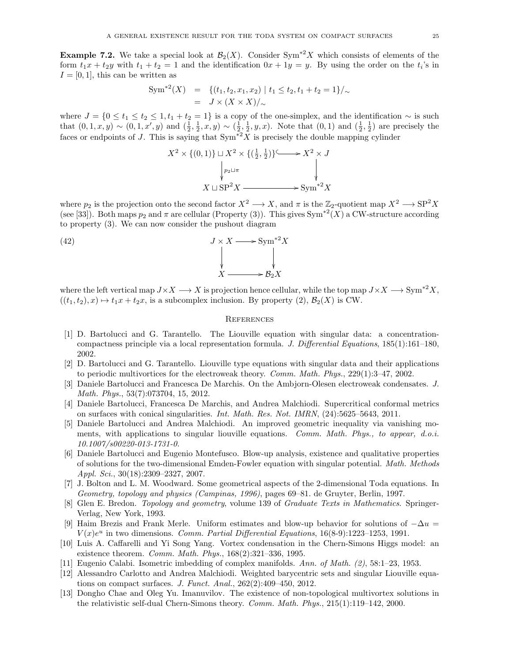**Example 7.2.** We take a special look at  $\mathcal{B}_2(X)$ . Consider Sym<sup>\*2</sup>X which consists of elements of the form  $t_1x + t_2y$  with  $t_1 + t_2 = 1$  and the identification  $0x + 1y = y$ . By using the order on the  $t_i$ 's in  $I = [0, 1]$ , this can be written as

$$
Sym^{*2}(X) = \{ (t_1, t_2, x_1, x_2) \mid t_1 \le t_2, t_1 + t_2 = 1 \}/\sim
$$
  
=  $J \times (X \times X)/\sim$ 

where  $J = \{0 \le t_1 \le t_2 \le 1, t_1 + t_2 = 1\}$  is a copy of the one-simplex, and the identification  $\sim$  is such that  $(0,1,x,y) \sim (0,1,x',y)$  and  $(\frac{1}{2},\frac{1}{2},x,y) \sim (\frac{1}{2},\frac{1}{2},y,x)$ . Note that  $(0,1)$  and  $(\frac{1}{2},\frac{1}{2})$  are precisely the faces or endpoints of J. This is saying that  $\text{Sym}^2 X$  is precisely the double mapping cylinder

$$
X^2 \times \{(0,1)\} \sqcup X^2 \times \{(\frac{1}{2},\frac{1}{2})\} \longrightarrow X^2 \times J
$$
  
\n
$$
\downarrow p_2 \sqcup \pi
$$
  
\n
$$
X \sqcup \text{SP}^2 X \longrightarrow \text{Sym}^{*2} X
$$

where  $p_2$  is the projection onto the second factor  $X^2 \longrightarrow X$ , and  $\pi$  is the  $\mathbb{Z}_2$ -quotient map  $X^2 \longrightarrow \text{SP}^2 X$ (see [33]). Both maps  $p_2$  and  $\pi$  are cellular (Property (3)). This gives Sym<sup>\*2</sup>(X) a CW-structure according to property (3). We can now consider the pushout diagram

(42) 
$$
J \times X \longrightarrow \text{Sym}^{*2} X
$$

$$
\downarrow \qquad \qquad \downarrow
$$

$$
X \longrightarrow B_2 X
$$

where the left vertical map  $J \times X \longrightarrow X$  is projection hence cellular, while the top map  $J \times X \longrightarrow \text{Sym}^{*2}X$ ,  $((t_1, t_2), x) \mapsto t_1x + t_2x$ , is a subcomplex inclusion. By property  $(2), \mathcal{B}_2(X)$  is CW.

#### **REFERENCES**

- [1] D. Bartolucci and G. Tarantello. The Liouville equation with singular data: a concentrationcompactness principle via a local representation formula. J. Differential Equations,  $185(1):161-180$ , 2002.
- [2] D. Bartolucci and G. Tarantello. Liouville type equations with singular data and their applications to periodic multivortices for the electroweak theory. Comm. Math. Phys., 229(1):3–47, 2002.
- [3] Daniele Bartolucci and Francesca De Marchis. On the Ambjorn-Olesen electroweak condensates. J. Math. Phys., 53(7):073704, 15, 2012.
- [4] Daniele Bartolucci, Francesca De Marchis, and Andrea Malchiodi. Supercritical conformal metrics on surfaces with conical singularities. Int. Math. Res. Not. IMRN, (24):5625–5643, 2011.
- [5] Daniele Bartolucci and Andrea Malchiodi. An improved geometric inequality via vanishing moments, with applications to singular liouville equations. Comm. Math. Phys., to appear, d.o.i. 10.1007/s00220-013-1731-0.
- [6] Daniele Bartolucci and Eugenio Montefusco. Blow-up analysis, existence and qualitative properties of solutions for the two-dimensional Emden-Fowler equation with singular potential. Math. Methods Appl. Sci., 30(18):2309–2327, 2007.
- [7] J. Bolton and L. M. Woodward. Some geometrical aspects of the 2-dimensional Toda equations. In Geometry, topology and physics (Campinas, 1996), pages 69–81. de Gruyter, Berlin, 1997.
- [8] Glen E. Bredon. Topology and geometry, volume 139 of Graduate Texts in Mathematics. Springer-Verlag, New York, 1993.
- [9] Haim Brezis and Frank Merle. Uniform estimates and blow-up behavior for solutions of  $-\Delta u =$  $V(x)e^u$  in two dimensions. Comm. Partial Differential Equations, 16(8-9):1223-1253, 1991.
- [10] Luis A. Caffarelli and Yi Song Yang. Vortex condensation in the Chern-Simons Higgs model: an existence theorem. Comm. Math. Phys., 168(2):321–336, 1995.
- [11] Eugenio Calabi. Isometric imbedding of complex manifolds. Ann. of Math. (2), 58:1–23, 1953.
- [12] Alessandro Carlotto and Andrea Malchiodi. Weighted barycentric sets and singular Liouville equations on compact surfaces. J. Funct. Anal., 262(2):409–450, 2012.
- [13] Dongho Chae and Oleg Yu. Imanuvilov. The existence of non-topological multivortex solutions in the relativistic self-dual Chern-Simons theory. Comm. Math. Phys., 215(1):119–142, 2000.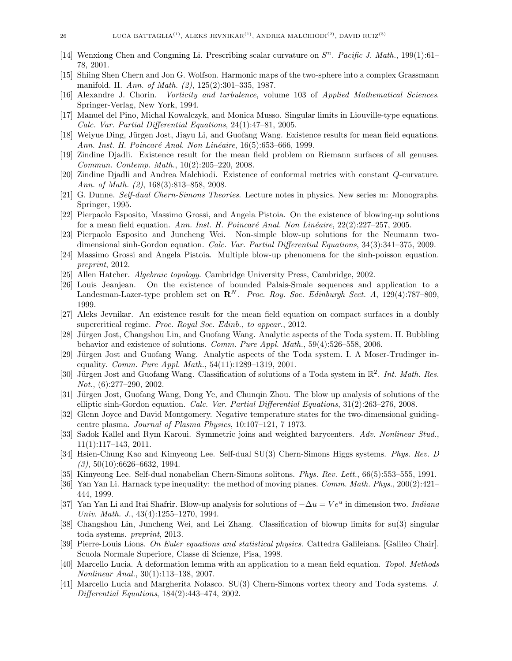- [14] Wenxiong Chen and Congming Li. Prescribing scalar curvature on  $S<sup>n</sup>$ . Pacific J. Math., 199(1):61– 78, 2001.
- [15] Shiing Shen Chern and Jon G. Wolfson. Harmonic maps of the two-sphere into a complex Grassmann manifold. II. Ann. of Math. (2), 125(2):301–335, 1987.
- [16] Alexandre J. Chorin. Vorticity and turbulence, volume 103 of Applied Mathematical Sciences. Springer-Verlag, New York, 1994.
- [17] Manuel del Pino, Michal Kowalczyk, and Monica Musso. Singular limits in Liouville-type equations. Calc. Var. Partial Differential Equations, 24(1):47–81, 2005.
- [18] Weiyue Ding, Jürgen Jost, Jiayu Li, and Guofang Wang. Existence results for mean field equations. Ann. Inst. H. Poincaré Anal. Non Linéaire, 16(5):653–666, 1999.
- [19] Zindine Djadli. Existence result for the mean field problem on Riemann surfaces of all genuses. Commun. Contemp. Math., 10(2):205–220, 2008.
- [20] Zindine Djadli and Andrea Malchiodi. Existence of conformal metrics with constant Q-curvature. Ann. of Math. (2), 168(3):813–858, 2008.
- [21] G. Dunne. Self-dual Chern-Simons Theories. Lecture notes in physics. New series m: Monographs. Springer, 1995.
- [22] Pierpaolo Esposito, Massimo Grossi, and Angela Pistoia. On the existence of blowing-up solutions for a mean field equation. Ann. Inst. H. Poincaré Anal. Non Linéaire,  $22(2):227-257$ , 2005.
- [23] Pierpaolo Esposito and Juncheng Wei. Non-simple blow-up solutions for the Neumann twodimensional sinh-Gordon equation. Calc. Var. Partial Differential Equations, 34(3):341–375, 2009.
- [24] Massimo Grossi and Angela Pistoia. Multiple blow-up phenomena for the sinh-poisson equation. preprint, 2012.
- [25] Allen Hatcher. Algebraic topology. Cambridge University Press, Cambridge, 2002.
- [26] Louis Jeanjean. On the existence of bounded Palais-Smale sequences and application to a Landesman-Lazer-type problem set on  $\mathbb{R}^N$ . Proc. Roy. Soc. Edinburgh Sect. A, 129(4):787–809, 1999.
- [27] Aleks Jevnikar. An existence result for the mean field equation on compact surfaces in a doubly supercritical regime. Proc. Royal Soc. Edinb., to appear., 2012.
- [28] Jürgen Jost, Changshou Lin, and Guofang Wang. Analytic aspects of the Toda system. II. Bubbling behavior and existence of solutions. Comm. Pure Appl. Math., 59(4):526–558, 2006.
- [29] Jürgen Jost and Guofang Wang. Analytic aspects of the Toda system. I. A Moser-Trudinger inequality. Comm. Pure Appl. Math., 54(11):1289–1319, 2001.
- [30] Jürgen Jost and Guofang Wang. Classification of solutions of a Toda system in  $\mathbb{R}^2$ . Int. Math. Res. Not., (6):277–290, 2002.
- [31] Jürgen Jost, Guofang Wang, Dong Ye, and Chunqin Zhou. The blow up analysis of solutions of the elliptic sinh-Gordon equation. Calc. Var. Partial Differential Equations, 31(2):263–276, 2008.
- [32] Glenn Joyce and David Montgomery. Negative temperature states for the two-dimensional guidingcentre plasma. Journal of Plasma Physics, 10:107–121, 7 1973.
- [33] Sadok Kallel and Rym Karoui. Symmetric joins and weighted barycenters. Adv. Nonlinear Stud., 11(1):117–143, 2011.
- [34] Hsien-Chung Kao and Kimyeong Lee. Self-dual SU(3) Chern-Simons Higgs systems. Phys. Rev. D  $(3), 50(10):6626-6632, 1994.$
- [35] Kimyeong Lee. Self-dual nonabelian Chern-Simons solitons. Phys. Rev. Lett., 66(5):553–555, 1991.
- [36] Yan Yan Li. Harnack type inequality: the method of moving planes. Comm. Math. Phys., 200(2):421– 444, 1999.
- [37] Yan Yan Li and Itai Shafrir. Blow-up analysis for solutions of  $-\Delta u = Ve^u$  in dimension two. Indiana Univ. Math. J., 43(4):1255–1270, 1994.
- [38] Changshou Lin, Juncheng Wei, and Lei Zhang. Classification of blowup limits for su(3) singular toda systems. preprint, 2013.
- [39] Pierre-Louis Lions. On Euler equations and statistical physics. Cattedra Galileiana. [Galileo Chair]. Scuola Normale Superiore, Classe di Scienze, Pisa, 1998.
- [40] Marcello Lucia. A deformation lemma with an application to a mean field equation. Topol. Methods Nonlinear Anal., 30(1):113–138, 2007.
- [41] Marcello Lucia and Margherita Nolasco. SU(3) Chern-Simons vortex theory and Toda systems. J. Differential Equations, 184(2):443–474, 2002.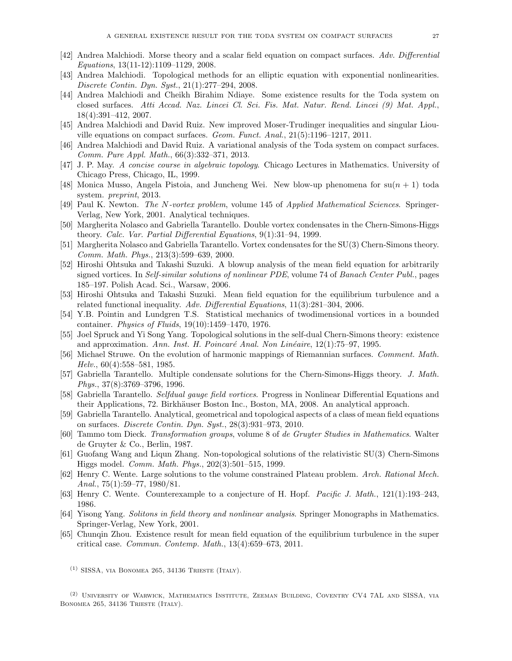- [42] Andrea Malchiodi. Morse theory and a scalar field equation on compact surfaces. Adv. Differential Equations, 13(11-12):1109–1129, 2008.
- [43] Andrea Malchiodi. Topological methods for an elliptic equation with exponential nonlinearities. Discrete Contin. Dyn. Syst., 21(1):277–294, 2008.
- [44] Andrea Malchiodi and Cheikh Birahim Ndiaye. Some existence results for the Toda system on closed surfaces. Atti Accad. Naz. Lincei Cl. Sci. Fis. Mat. Natur. Rend. Lincei (9) Mat. Appl., 18(4):391–412, 2007.
- [45] Andrea Malchiodi and David Ruiz. New improved Moser-Trudinger inequalities and singular Liouville equations on compact surfaces. Geom. Funct. Anal., 21(5):1196–1217, 2011.
- [46] Andrea Malchiodi and David Ruiz. A variational analysis of the Toda system on compact surfaces. Comm. Pure Appl. Math., 66(3):332–371, 2013.
- [47] J. P. May. A concise course in algebraic topology. Chicago Lectures in Mathematics. University of Chicago Press, Chicago, IL, 1999.
- [48] Monica Musso, Angela Pistoia, and Juncheng Wei. New blow-up phenomena for  $su(n + 1)$  toda system. preprint, 2013.
- [49] Paul K. Newton. The N-vortex problem, volume 145 of Applied Mathematical Sciences. Springer-Verlag, New York, 2001. Analytical techniques.
- [50] Margherita Nolasco and Gabriella Tarantello. Double vortex condensates in the Chern-Simons-Higgs theory. Calc. Var. Partial Differential Equations, 9(1):31–94, 1999.
- [51] Margherita Nolasco and Gabriella Tarantello. Vortex condensates for the SU(3) Chern-Simons theory. Comm. Math. Phys., 213(3):599–639, 2000.
- [52] Hiroshi Ohtsuka and Takashi Suzuki. A blowup analysis of the mean field equation for arbitrarily signed vortices. In Self-similar solutions of nonlinear PDE, volume 74 of Banach Center Publ., pages 185–197. Polish Acad. Sci., Warsaw, 2006.
- [53] Hiroshi Ohtsuka and Takashi Suzuki. Mean field equation for the equilibrium turbulence and a related functional inequality. Adv. Differential Equations, 11(3):281–304, 2006.
- [54] Y.B. Pointin and Lundgren T.S. Statistical mechanics of twodimensional vortices in a bounded container. Physics of Fluids, 19(10):1459–1470, 1976.
- [55] Joel Spruck and Yi Song Yang. Topological solutions in the self-dual Chern-Simons theory: existence and approximation. Ann. Inst. H. Poincaré Anal. Non Linéaire,  $12(1):75-97$ , 1995.
- [56] Michael Struwe. On the evolution of harmonic mappings of Riemannian surfaces. Comment. Math. Helv., 60(4):558–581, 1985.
- [57] Gabriella Tarantello. Multiple condensate solutions for the Chern-Simons-Higgs theory. J. Math. Phys., 37(8):3769–3796, 1996.
- [58] Gabriella Tarantello. Selfdual gauge field vortices. Progress in Nonlinear Differential Equations and their Applications, 72. Birkhäuser Boston Inc., Boston, MA, 2008. An analytical approach.
- [59] Gabriella Tarantello. Analytical, geometrical and topological aspects of a class of mean field equations on surfaces. Discrete Contin. Dyn. Syst., 28(3):931–973, 2010.
- [60] Tammo tom Dieck. Transformation groups, volume 8 of de Gruyter Studies in Mathematics. Walter de Gruyter & Co., Berlin, 1987.
- [61] Guofang Wang and Liqun Zhang. Non-topological solutions of the relativistic SU(3) Chern-Simons Higgs model. Comm. Math. Phys., 202(3):501–515, 1999.
- [62] Henry C. Wente. Large solutions to the volume constrained Plateau problem. Arch. Rational Mech. Anal.,  $75(1):59-77$ ,  $1980/81$ .
- [63] Henry C. Wente. Counterexample to a conjecture of H. Hopf. Pacific J. Math., 121(1):193–243, 1986.
- [64] Yisong Yang. Solitons in field theory and nonlinear analysis. Springer Monographs in Mathematics. Springer-Verlag, New York, 2001.
- [65] Chunqin Zhou. Existence result for mean field equation of the equilibrium turbulence in the super critical case. Commun. Contemp. Math., 13(4):659–673, 2011.
	- $(1)$  SISSA, VIA BONOMEA 265, 34136 TRIESTE (ITALY).

(2) University of Warwick, Mathematics Institute, Zeeman Building, Coventry CV4 7AL and SISSA, via BONOMEA 265, 34136 TRIESTE (ITALY).